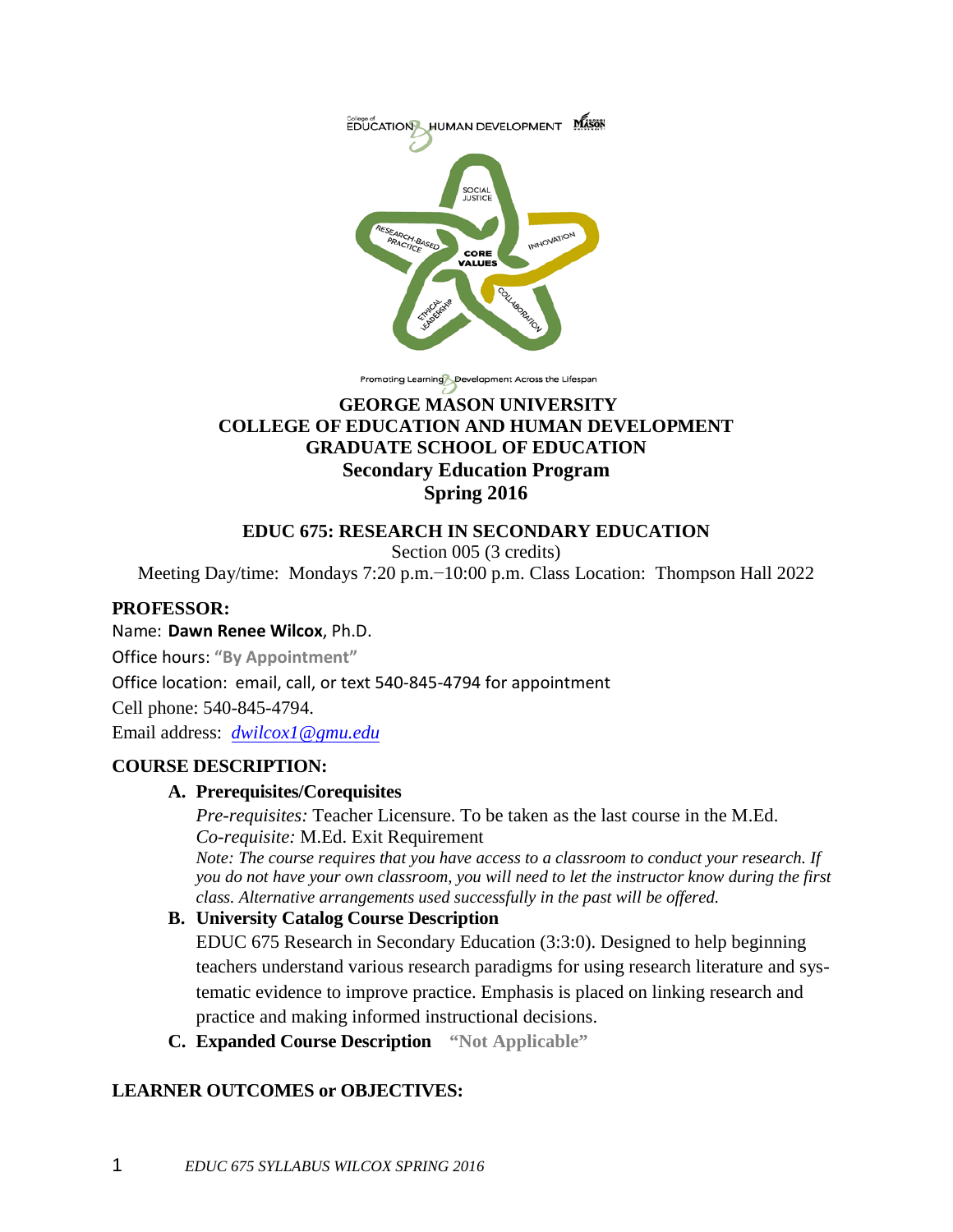

Promoting Learning Development Across the Lifespan

### **GEORGE MASON UNIVERSITY COLLEGE OF EDUCATION AND HUMAN DEVELOPMENT GRADUATE SCHOOL OF EDUCATION Secondary Education Program Spring 2016**

### **EDUC 675: RESEARCH IN SECONDARY EDUCATION**

Section 005 (3 credits)

Meeting Day/time: Mondays 7:20 p.m.−10:00 p.m. Class Location: Thompson Hall 2022

### **PROFESSOR:**

### Name: **Dawn Renee Wilcox**, Ph.D.

Office hours: **"By Appointment"**

Office location: email, call, or text 540-845-4794 for appointment

Cell phone: 540-845-4794.

Email address: *[dwilcox1@gmu.edu](mailto:dwilcox1@gmu.edu)*

### **COURSE DESCRIPTION:**

### **A. Prerequisites/Corequisites**

*Pre-requisites:* Teacher Licensure. To be taken as the last course in the M.Ed. *Co-requisite:* M.Ed. Exit Requirement

*Note: The course requires that you have access to a classroom to conduct your research. If you do not have your own classroom, you will need to let the instructor know during the first class. Alternative arrangements used successfully in the past will be offered.*

### **B. University Catalog Course Description**

EDUC 675 Research in Secondary Education (3:3:0). Designed to help beginning teachers understand various research paradigms for using research literature and systematic evidence to improve practice. Emphasis is placed on linking research and practice and making informed instructional decisions.

**C. Expanded Course Description "Not Applicable"**

### **LEARNER OUTCOMES or OBJECTIVES:**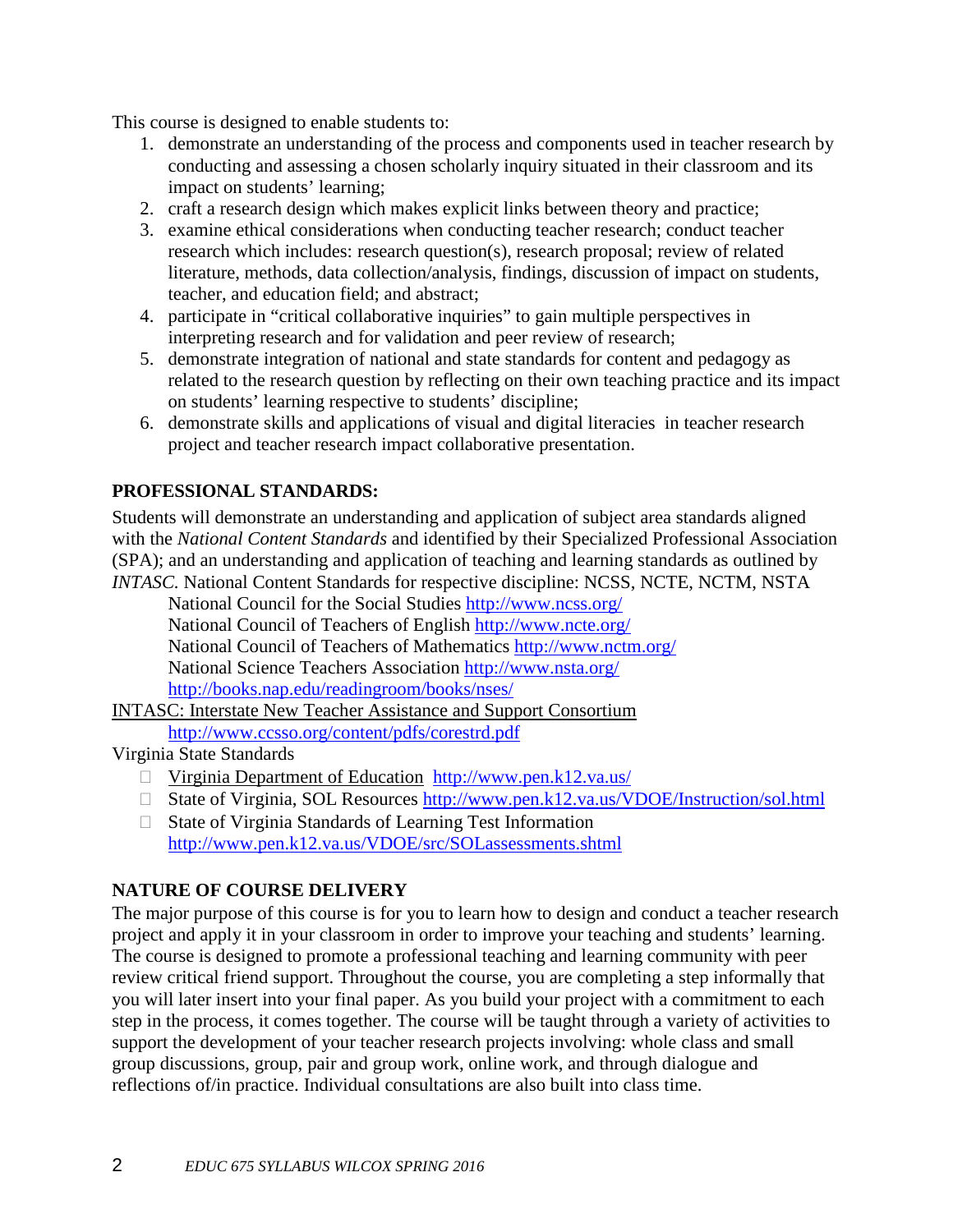This course is designed to enable students to:

- 1. demonstrate an understanding of the process and components used in teacher research by conducting and assessing a chosen scholarly inquiry situated in their classroom and its impact on students' learning;
- 2. craft a research design which makes explicit links between theory and practice;
- 3. examine ethical considerations when conducting teacher research; conduct teacher research which includes: research question(s), research proposal; review of related literature, methods, data collection/analysis, findings, discussion of impact on students, teacher, and education field; and abstract;
- 4. participate in "critical collaborative inquiries" to gain multiple perspectives in interpreting research and for validation and peer review of research;
- 5. demonstrate integration of national and state standards for content and pedagogy as related to the research question by reflecting on their own teaching practice and its impact on students' learning respective to students' discipline;
- 6. demonstrate skills and applications of visual and digital literacies in teacher research project and teacher research impact collaborative presentation.

# **PROFESSIONAL STANDARDS:**

Students will demonstrate an understanding and application of subject area standards aligned with the *National Content Standards* and identified by their Specialized Professional Association (SPA); and an understanding and application of teaching and learning standards as outlined by *INTASC.* National Content Standards for respective discipline: NCSS, NCTE, NCTM, NSTA

National Council for the Social Studies <http://www.ncss.org/> National Council of Teachers of English <http://www.ncte.org/> National Council of Teachers of Mathematics <http://www.nctm.org/> National Science Teachers Association <http://www.nsta.org/> <http://books.nap.edu/readingroom/books/nses/>

INTASC: Interstate New Teacher Assistance and Support [Consortium](http://www.ccsso.org/content/pdfs/corestrd.pdf) <http://www.ccsso.org/content/pdfs/corestrd.pdf>

### Virginia State Standards

- □ Virginia [Department](http://www.pen.k12.va.us/) of Education <http://www.pen.k12.va.us/>
- □ State of Virginia, SOL Resources [http://www.pen.k12.va.us/VDOE/Instruction/sol.html](http://www.pen.k12.va.us/vdoe/instruction/sol.html)
- $\Box$  State of Virginia Standards of Learning Test Information [http://www.pen.k12.va.us/VDOE/src/SOLassessments.shtml](http://www.pen.k12.va.us/vdoe/src/solassessments.shtml)

# **NATURE OF COURSE DELIVERY**

The major purpose of this course is for you to learn how to design and conduct a teacher research project and apply it in your classroom in order to improve your teaching and students' learning. The course is designed to promote a professional teaching and learning community with peer review critical friend support. Throughout the course, you are completing a step informally that you will later insert into your final paper. As you build your project with a commitment to each step in the process, it comes together. The course will be taught through a variety of activities to support the development of your teacher research projects involving: whole class and small group discussions, group, pair and group work, online work, and through dialogue and reflections of/in practice. Individual consultations are also built into class time.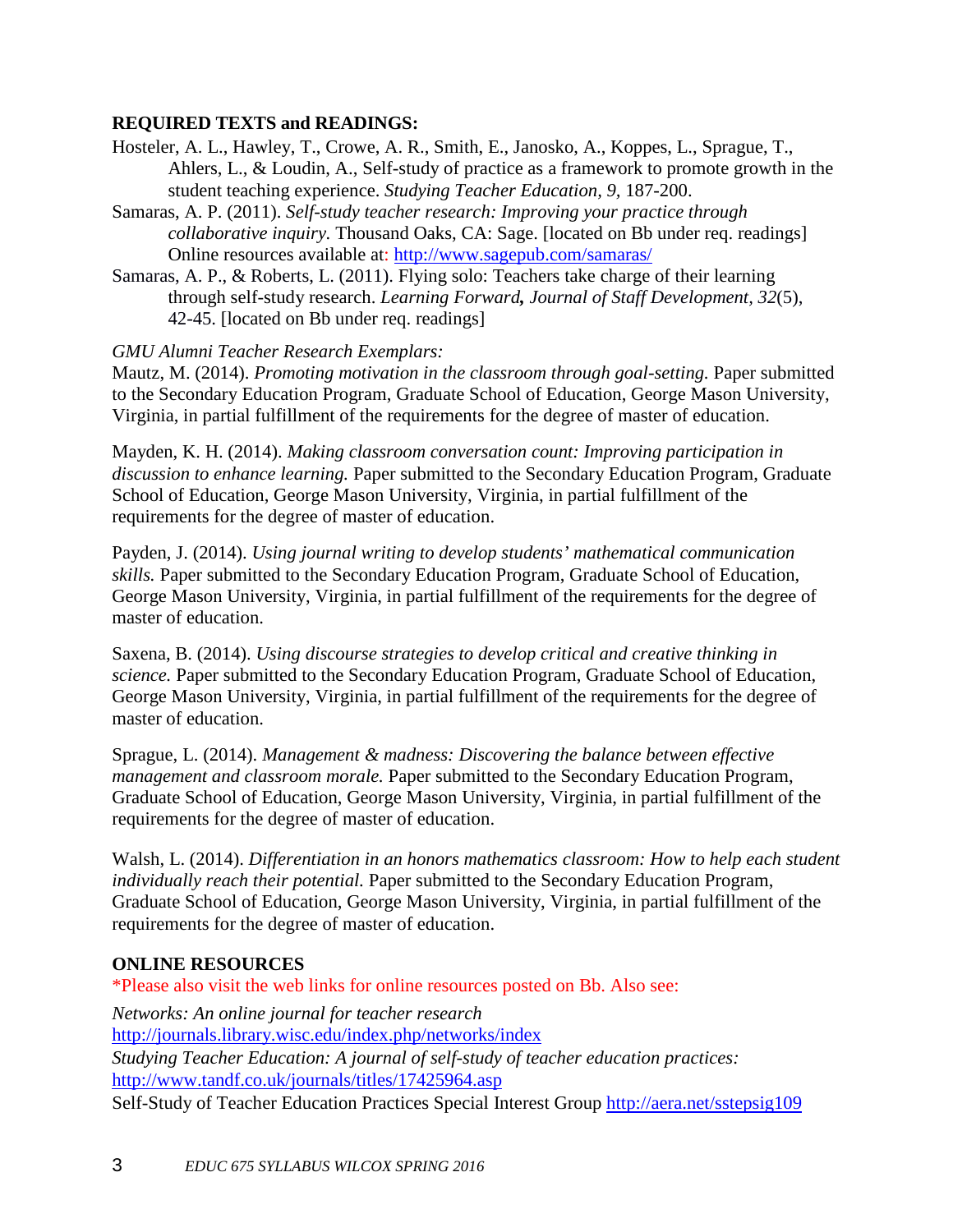### **REQUIRED TEXTS and READINGS:**

- Hosteler, A. L., Hawley, T., Crowe, A. R., Smith, E., Janosko, A., Koppes, L., Sprague, T., Ahlers, L., & Loudin, A., Self-study of practice as a framework to promote growth in the student teaching experience. *Studying Teacher Education, 9,* 187-200.
- Samaras, A. P. (2011). *Self-study teacher research: Improving your practice through collaborative inquiry.* Thousand Oaks, CA: Sage. [located on Bb under req. readings] Online resources available at: <http://www.sagepub.com/samaras/>
- Samaras, A. P., & Roberts, L. (2011). Flying solo: Teachers take charge of their learning through self-study research. *Learning Forward, Journal of Staff Development, 32*(5), 42-45. [located on Bb under req. readings]

### *GMU Alumni Teacher Research Exemplars:*

Mautz, M. (2014). *Promoting motivation in the classroom through goal-setting.* Paper submitted to the Secondary Education Program, Graduate School of Education, George Mason University, Virginia, in partial fulfillment of the requirements for the degree of master of education.

Mayden, K. H. (2014). *Making classroom conversation count: Improving participation in discussion to enhance learning.* Paper submitted to the Secondary Education Program, Graduate School of Education, George Mason University, Virginia, in partial fulfillment of the requirements for the degree of master of education.

Payden, J. (2014). *Using journal writing to develop students' mathematical communication skills.* Paper submitted to the Secondary Education Program, Graduate School of Education, George Mason University, Virginia, in partial fulfillment of the requirements for the degree of master of education.

Saxena, B. (2014). *Using discourse strategies to develop critical and creative thinking in science.* Paper submitted to the Secondary Education Program, Graduate School of Education, George Mason University, Virginia, in partial fulfillment of the requirements for the degree of master of education.

Sprague, L. (2014). *Management & madness: Discovering the balance between effective management and classroom morale.* Paper submitted to the Secondary Education Program, Graduate School of Education, George Mason University, Virginia, in partial fulfillment of the requirements for the degree of master of education.

Walsh, L. (2014). *Differentiation in an honors mathematics classroom: How to help each student individually reach their potential.* Paper submitted to the Secondary Education Program, Graduate School of Education, George Mason University, Virginia, in partial fulfillment of the requirements for the degree of master of education.

### **ONLINE RESOURCES**

\*Please also visit the web links for online resources posted on Bb. Also see: *Networks: An online journal for teacher research* <http://journals.library.wisc.edu/index.php/networks/index> *Studying Teacher Education: A journal of self-study of teacher education practices:*  <http://www.tandf.co.uk/journals/titles/17425964.asp> Self-Study of Teacher Education Practices Special Interest Group <http://aera.net/sstepsig109>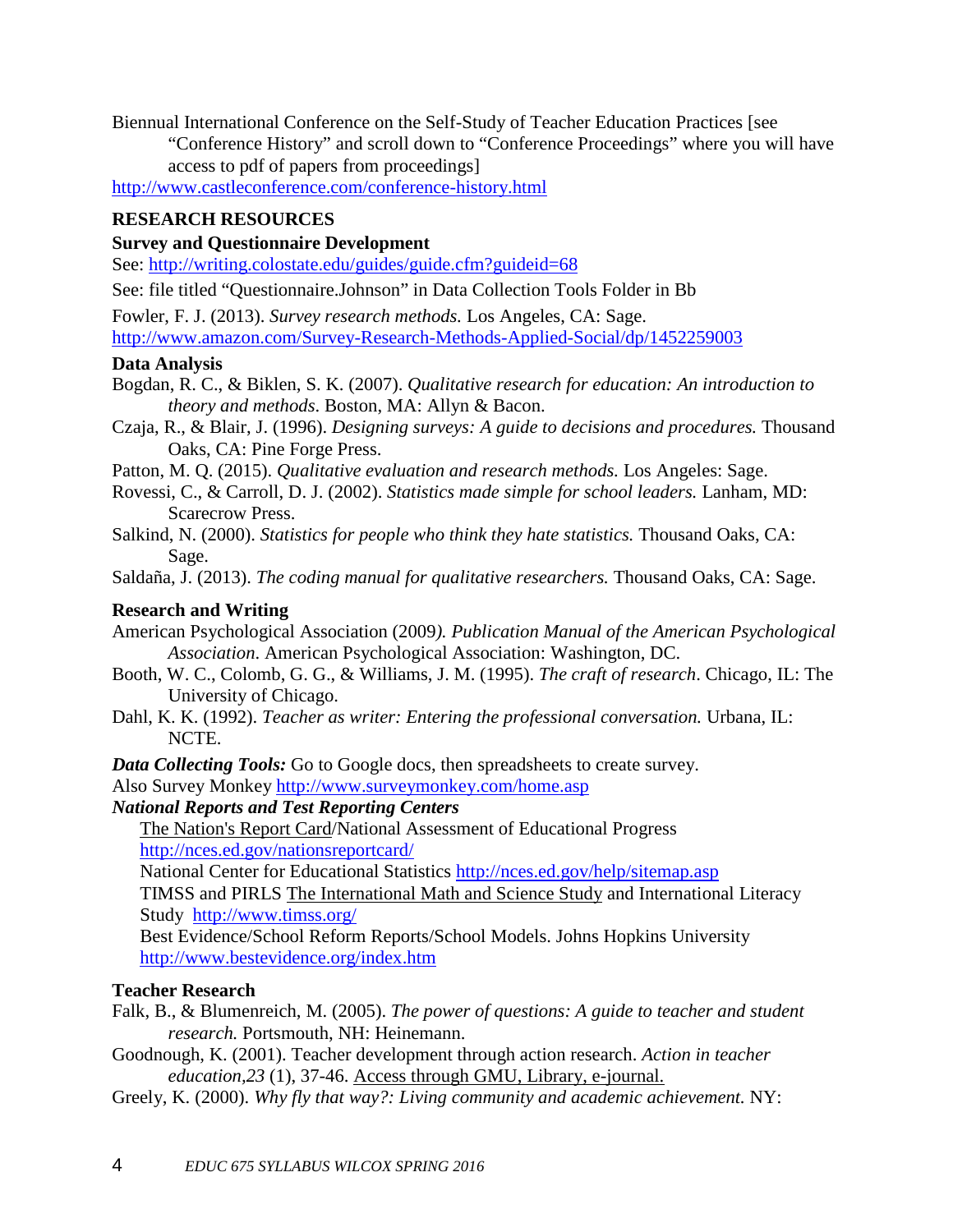Biennual International Conference on the Self-Study of Teacher Education Practices [see

"Conference History" and scroll down to "Conference Proceedings" where you will have access to pdf of papers from proceedings]

<http://www.castleconference.com/conference-history.html>

# **RESEARCH RESOURCES**

# **Survey and Questionnaire Development**

See: <http://writing.colostate.edu/guides/guide.cfm?guideid=68>

See: file titled "Questionnaire.Johnson" in Data Collection Tools Folder in Bb

Fowler, F. J. (2013). *Survey research methods.* Los Angeles, CA: Sage. [http://www.amazon.com/Survey-Research-Methods-Applied-Social/dp/1452259003](http://www.amazon.com/survey-research-methods-applied-social/dp/1452259003)

# **Data Analysis**

- Bogdan, R. C., & Biklen, S. K. (2007). *Qualitative research for education: An introduction to theory and methods*. Boston, MA: Allyn & Bacon.
- Czaja, R., & Blair, J. (1996). *Designing surveys: A guide to decisions and procedures.* Thousand Oaks, CA: Pine Forge Press.
- Patton, M. Q. (2015). *Qualitative evaluation and research methods.* Los Angeles: Sage.
- Rovessi, C., & Carroll, D. J. (2002). *Statistics made simple for school leaders.* Lanham, MD: Scarecrow Press.
- Salkind, N. (2000). *Statistics for people who think they hate statistics.* Thousand Oaks, CA: Sage.
- Saldaña, J. (2013). *The coding manual for qualitative researchers.* Thousand Oaks, CA: Sage.

# **Research and Writing**

American Psychological Association (2009*). Publication Manual of the American Psychological Association*. American Psychological Association: Washington, DC.

- Booth, W. C., Colomb, G. G., & Williams, J. M. (1995). *The craft of research*. Chicago, IL: The University of Chicago.
- Dahl, K. K. (1992). *Teacher as writer: Entering the professional conversation.* Urbana, IL: NCTE.

*Data Collecting Tools:* Go to Google docs, then spreadsheets to create survey.

Also Survey Monkey <http://www.surveymonkey.com/home.asp>

# *National Reports and Test Reporting Centers*

The [Nation's](http://nces.ed.gov/nationsreportcard/) Report Card/National Assessment of Educational Progress <http://nces.ed.gov/nationsreportcard/>

National Center for Educational Statistics <http://nces.ed.gov/help/sitemap.asp>

TIMSS and PIRLS The [International](http://www.timss.org/) Math and Science Study and International Literacy Study <http://www.timss.org/>

Best Evidence/School Reform Reports/School Models. Johns Hopkins University <http://www.bestevidence.org/index.htm>

# **Teacher Research**

- Falk, B., & Blumenreich, M. (2005). *The power of questions: A guide to teacher and student research.* Portsmouth, NH: Heinemann.
- Goodnough, K. (2001). Teacher development through action research. *Action in teacher education,23* (1), 37-46. Access through GMU, Library, e-journal.
- Greely, K. (2000). *Why fly that way?: Living community and academic achievement.* NY: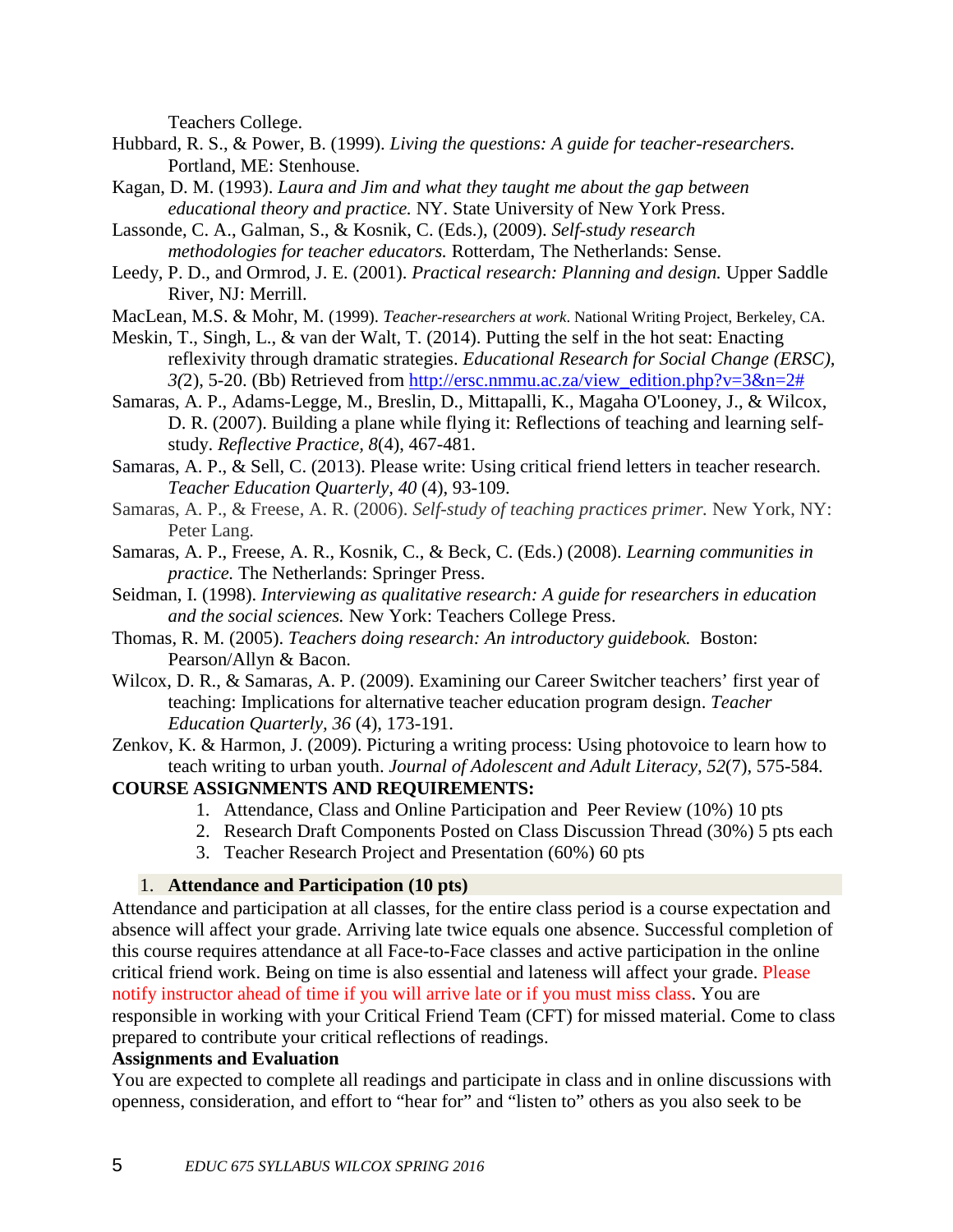Teachers College.

- Hubbard, R. S., & Power, B. (1999). *Living the questions: A guide for teacher-researchers.* Portland, ME: Stenhouse.
- Kagan, D. M. (1993). *Laura and Jim and what they taught me about the gap between educational theory and practice.* NY. State University of New York Press.
- Lassonde, C. A., Galman, S., & Kosnik, C. (Eds.), (2009). *Self-study research methodologies for teacher educators.* Rotterdam, The Netherlands: Sense.
- Leedy, P. D., and Ormrod, J. E. (2001). *Practical research: Planning and design.* Upper Saddle River, NJ: Merrill.
- MacLean, M.S. & Mohr, M. (1999). *Teacher-researchers at work*. National Writing Project, Berkeley, CA.
- Meskin, T., Singh, L., & van der Walt, T. (2014). Putting the self in the hot seat: Enacting reflexivity through dramatic strategies. *Educational Research for Social Change (ERSC), 3(*2), 5-20. (Bb) Retrieved from [http://ersc.nmmu.ac.za/view\\_edition.php?v=3&n=2#](http://ersc.nmmu.ac.za/view_edition.php?v=3&n=2)
- Samaras, A. P., Adams-Legge, M., Breslin, D., Mittapalli, K., Magaha O'Looney, J., & Wilcox, D. R. (2007). Building a plane while flying it: Reflections of teaching and learning selfstudy. *Reflective Practice, 8*(4), 467-481.
- Samaras, A. P., & Sell, C. (2013). Please write: Using critical friend letters in teacher research. *Teacher Education Quarterly, 40* (4), 93-109.
- Samaras, A. P., & Freese, A. R. (2006). *Self-study of teaching practices primer.* New York, NY: Peter Lang.
- Samaras, A. P., Freese, A. R., Kosnik, C., & Beck, C. (Eds.) (2008). *Learning communities in practice.* The Netherlands: Springer Press.
- Seidman, I. (1998). *Interviewing as qualitative research: A guide for researchers in education and the social sciences.* New York: Teachers College Press.
- Thomas, R. M. (2005). *Teachers doing research: An introductory guidebook.* Boston: Pearson/Allyn & Bacon.
- Wilcox, D. R., & Samaras, A. P. (2009). Examining our Career Switcher teachers' first year of teaching: Implications for alternative teacher education program design. *Teacher Education Quarterly, 36* (4), 173-191.
- Zenkov, K. & Harmon, J. (2009). Picturing a writing process: Using photovoice to learn how to teach writing to urban youth. *Journal of Adolescent and Adult Literacy, 52*(7), 575-584*.*

# **COURSE ASSIGNMENTS AND REQUIREMENTS:**

- 1. Attendance, Class and Online Participation and Peer Review (10%) 10 pts
- 2. Research Draft Components Posted on Class Discussion Thread (30%) 5 pts each
- 3. Teacher Research Project and Presentation (60%) 60 pts

### 1. **Attendance and Participation (10 pts)**

Attendance and participation at all classes, for the entire class period is a course expectation and absence will affect your grade. Arriving late twice equals one absence. Successful completion of this course requires attendance at all Face-to-Face classes and active participation in the online critical friend work. Being on time is also essential and lateness will affect your grade. Please notify instructor ahead of time if you will arrive late or if you must miss class. You are responsible in working with your Critical Friend Team (CFT) for missed material. Come to class prepared to contribute your critical reflections of readings.

### **Assignments and Evaluation**

You are expected to complete all readings and participate in class and in online discussions with openness, consideration, and effort to "hear for" and "listen to" others as you also seek to be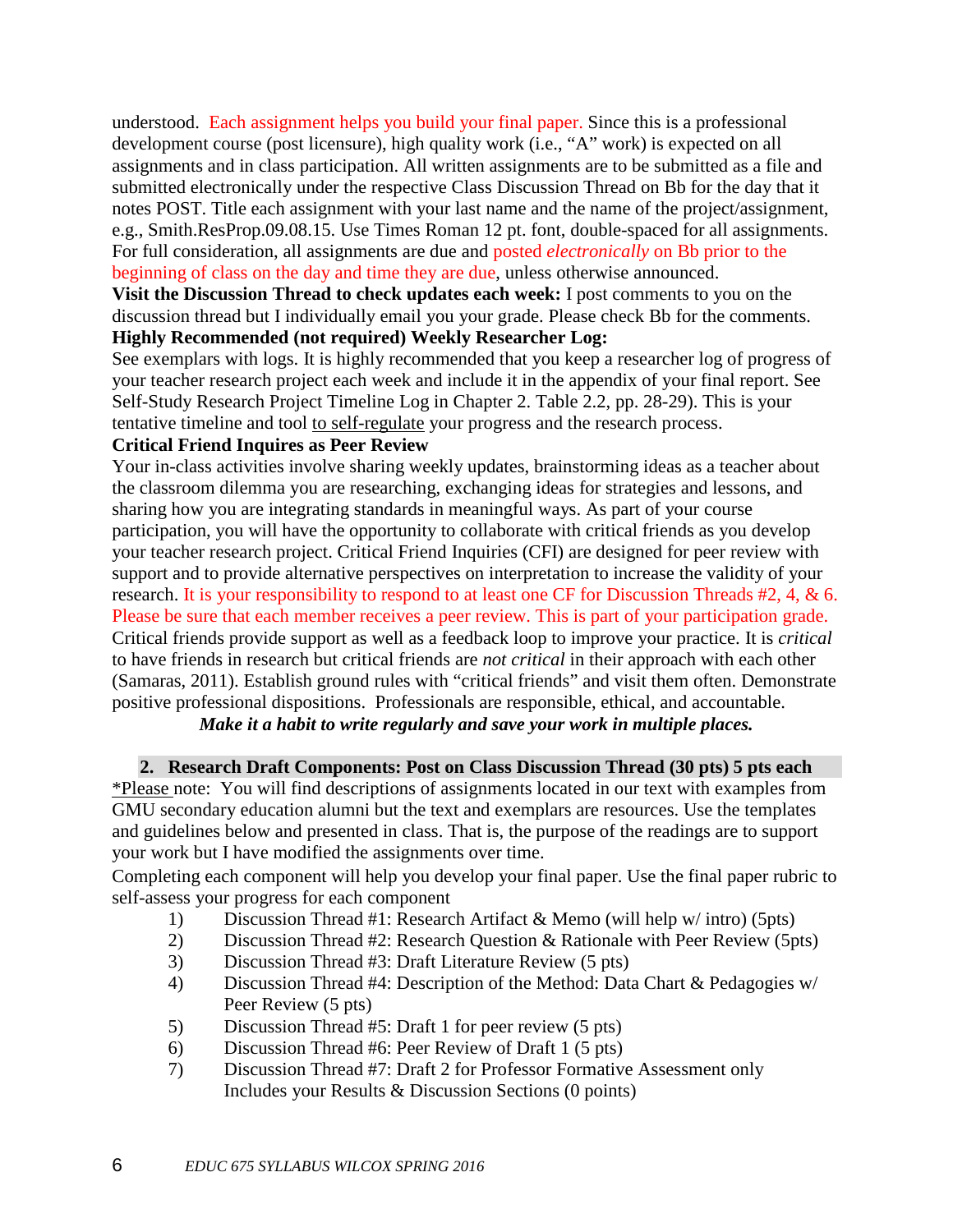understood. Each assignment helps you build your final paper. Since this is a professional development course (post licensure), high quality work (i.e., "A" work) is expected on all assignments and in class participation. All written assignments are to be submitted as a file and submitted electronically under the respective Class Discussion Thread on Bb for the day that it notes POST. Title each assignment with your last name and the name of the project/assignment, e.g., Smith.ResProp.09.08.15. Use Times Roman 12 pt. font, double-spaced for all assignments. For full consideration, all assignments are due and posted *electronically* on Bb prior to the beginning of class on the day and time they are due, unless otherwise announced.

**Visit the Discussion Thread to check updates each week:** I post comments to you on the discussion thread but I individually email you your grade. Please check Bb for the comments. **Highly Recommended (not required) Weekly Researcher Log:**

See exemplars with logs. It is highly recommended that you keep a researcher log of progress of your teacher research project each week and include it in the appendix of your final report. See Self-Study Research Project Timeline Log in Chapter 2. Table 2.2, pp. 28-29). This is your tentative timeline and tool to self-regulate your progress and the research process.

### **Critical Friend Inquires as Peer Review**

Your in-class activities involve sharing weekly updates, brainstorming ideas as a teacher about the classroom dilemma you are researching, exchanging ideas for strategies and lessons, and sharing how you are integrating standards in meaningful ways. As part of your course participation, you will have the opportunity to collaborate with critical friends as you develop your teacher research project. Critical Friend Inquiries (CFI) are designed for peer review with support and to provide alternative perspectives on interpretation to increase the validity of your research. It is your responsibility to respond to at least one CF for Discussion Threads #2, 4, & 6. Please be sure that each member receives a peer review. This is part of your participation grade. Critical friends provide support as well as a feedback loop to improve your practice. It is *critical* to have friends in research but critical friends are *not critical* in their approach with each other (Samaras, 2011). Establish ground rules with "critical friends" and visit them often. Demonstrate positive professional dispositions. Professionals are responsible, ethical, and accountable.

# *Make it a habit to write regularly and save your work in multiple places.*

### **2. Research Draft Components: Post on Class Discussion Thread (30 pts) 5 pts each**

\*Please note: You will find descriptions of assignments located in our text with examples from GMU secondary education alumni but the text and exemplars are resources. Use the templates and guidelines below and presented in class. That is, the purpose of the readings are to support your work but I have modified the assignments over time.

Completing each component will help you develop your final paper. Use the final paper rubric to self-assess your progress for each component

- 1) Discussion Thread #1: Research Artifact & Memo (will help w/ intro) (5pts)
- 2) Discussion Thread #2: Research Question & Rationale with Peer Review (5pts)
- 3) Discussion Thread #3: Draft Literature Review (5 pts)
- 4) Discussion Thread #4: Description of the Method: Data Chart & Pedagogies w/ Peer Review (5 pts)
- 5) Discussion Thread #5: Draft 1 for peer review (5 pts)
- 6) Discussion Thread #6: Peer Review of Draft 1 (5 pts)
- 7) Discussion Thread #7: Draft 2 for Professor Formative Assessment only Includes your Results & Discussion Sections (0 points)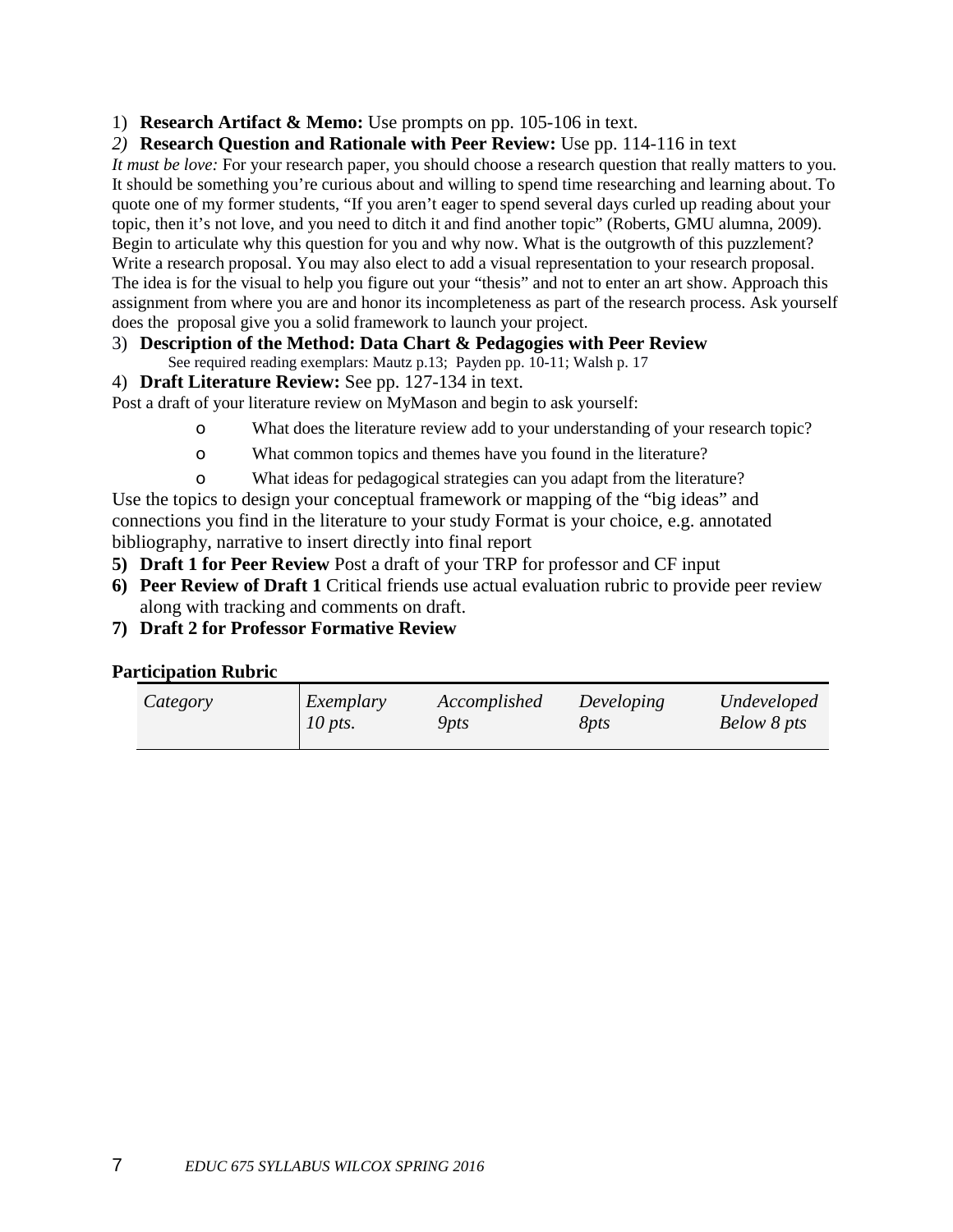1) **Research Artifact & Memo:** Use prompts on pp. 105-106 in text.

### *2)* **Research Question and Rationale with Peer Review:** Use pp. 114-116 in text

*It must be love:* For your research paper, you should choose a research question that really matters to you. It should be something you're curious about and willing to spend time researching and learning about. To quote one of my former students, "If you aren't eager to spend several days curled up reading about your topic, then it's not love, and you need to ditch it and find another topic" (Roberts, GMU alumna, 2009). Begin to articulate why this question for you and why now. What is the outgrowth of this puzzlement? Write a research proposal. You may also elect to add a visual representation to your research proposal. The idea is for the visual to help you figure out your "thesis" and not to enter an art show. Approach this assignment from where you are and honor its incompleteness as part of the research process. Ask yourself does the proposal give you a solid framework to launch your project.

# 3) **Description of the Method: Data Chart & Pedagogies with Peer Review**

See required reading exemplars: Mautz p.13; Payden pp. 10-11; Walsh p. 17

# 4) **Draft Literature Review:** See pp. 127-134 in text.

Post a draft of your literature review on MyMason and begin to ask yourself:

- o What does the literature review add to your understanding of your research topic?
- o What common topics and themes have you found in the literature?
- o What ideas for pedagogical strategies can you adapt from the literature?

Use the topics to design your conceptual framework or mapping of the "big ideas" and connections you find in the literature to your study Format is your choice, e.g. annotated bibliography, narrative to insert directly into final report

- **5) Draft 1 for Peer Review** Post a draft of your TRP for professor and CF input
- **6) Peer Review of Draft 1** Critical friends use actual evaluation rubric to provide peer review along with tracking and comments on draft.

### **7) Draft 2 for Professor Formative Review**

### **Participation Rubric**

| Undeveloped<br>Exemplary<br>Accomplished<br>Developing<br>Category<br>10 pts.<br>Below 8 pts<br>8 <i>pts</i><br>9pts. |
|-----------------------------------------------------------------------------------------------------------------------|
|-----------------------------------------------------------------------------------------------------------------------|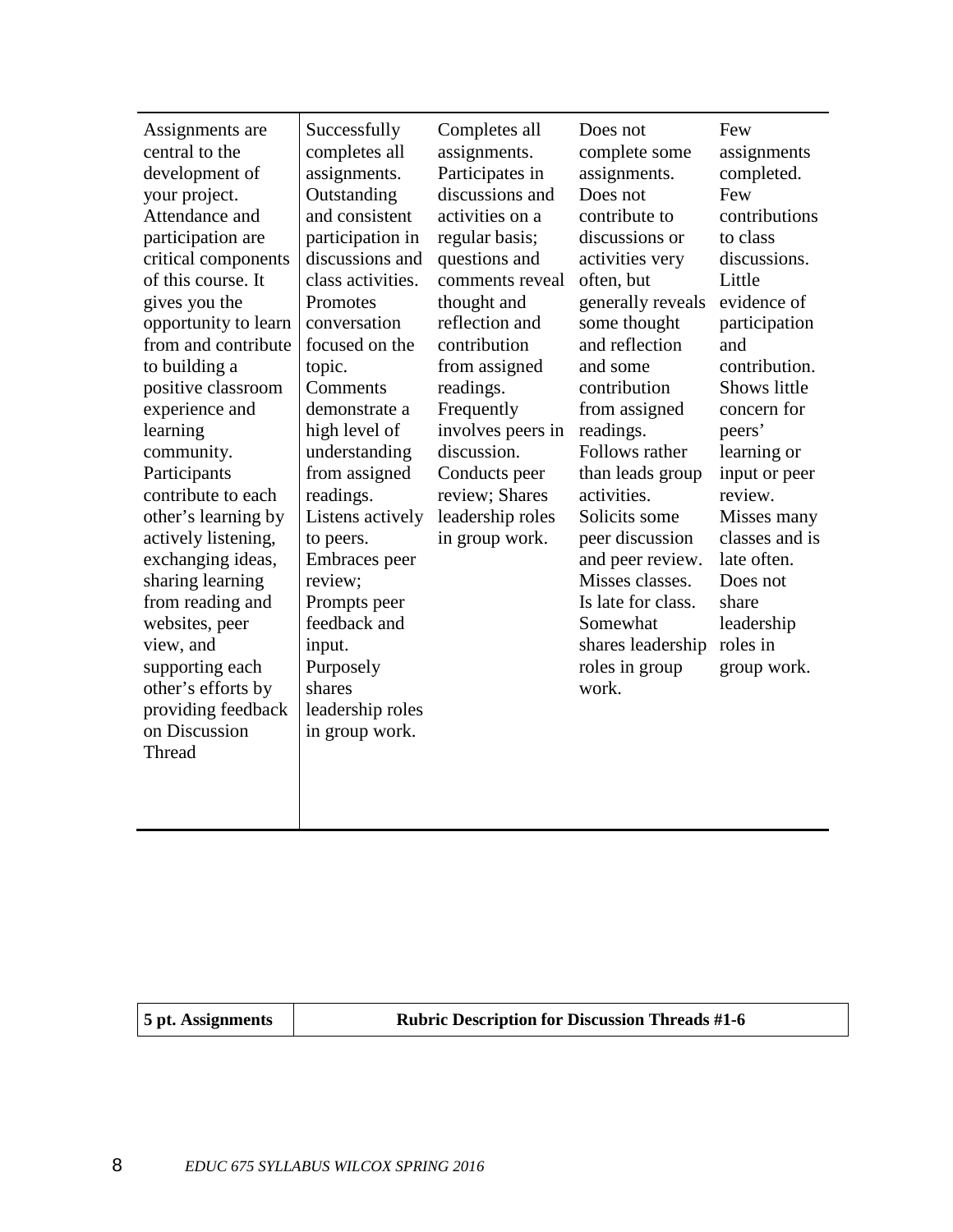| Assignments are<br>central to the<br>development of<br>your project.<br>Attendance and<br>participation are<br>critical components<br>of this course. It<br>gives you the<br>opportunity to learn<br>from and contribute<br>to building a<br>positive classroom<br>experience and<br>learning<br>community.<br>Participants<br>contribute to each<br>other's learning by<br>actively listening,<br>exchanging ideas,<br>sharing learning<br>from reading and<br>websites, peer<br>view, and<br>supporting each<br>other's efforts by<br>providing feedback<br>on Discussion<br>Thread | Successfully<br>completes all<br>assignments.<br>Outstanding<br>and consistent<br>participation in<br>discussions and<br>class activities.<br>Promotes<br>conversation<br>focused on the<br>topic.<br>Comments<br>demonstrate a<br>high level of<br>understanding<br>from assigned<br>readings.<br>Listens actively<br>to peers.<br>Embraces peer<br>review;<br>Prompts peer<br>feedback and<br>input.<br>Purposely<br>shares<br>leadership roles<br>in group work. | Completes all<br>assignments.<br>Participates in<br>discussions and<br>activities on a<br>regular basis;<br>questions and<br>comments reveal<br>thought and<br>reflection and<br>contribution<br>from assigned<br>readings.<br>Frequently<br>involves peers in<br>discussion.<br>Conducts peer<br>review; Shares<br>leadership roles<br>in group work. | Does not<br>complete some<br>assignments.<br>Does not<br>contribute to<br>discussions or<br>activities very<br>often, but<br>generally reveals<br>some thought<br>and reflection<br>and some<br>contribution<br>from assigned<br>readings.<br>Follows rather<br>than leads group<br>activities.<br>Solicits some<br>peer discussion<br>and peer review.<br>Misses classes.<br>Is late for class.<br>Somewhat<br>shares leadership<br>roles in group<br>work. | Few<br>assignments<br>completed.<br>Few<br>contributions<br>to class<br>discussions.<br>Little<br>evidence of<br>participation<br>and<br>contribution.<br>Shows little<br>concern for<br>peers'<br>learning or<br>input or peer<br>review.<br>Misses many<br>classes and is<br>late often.<br>Does not<br>share<br>leadership<br>roles in<br>group work. |
|---------------------------------------------------------------------------------------------------------------------------------------------------------------------------------------------------------------------------------------------------------------------------------------------------------------------------------------------------------------------------------------------------------------------------------------------------------------------------------------------------------------------------------------------------------------------------------------|---------------------------------------------------------------------------------------------------------------------------------------------------------------------------------------------------------------------------------------------------------------------------------------------------------------------------------------------------------------------------------------------------------------------------------------------------------------------|--------------------------------------------------------------------------------------------------------------------------------------------------------------------------------------------------------------------------------------------------------------------------------------------------------------------------------------------------------|--------------------------------------------------------------------------------------------------------------------------------------------------------------------------------------------------------------------------------------------------------------------------------------------------------------------------------------------------------------------------------------------------------------------------------------------------------------|----------------------------------------------------------------------------------------------------------------------------------------------------------------------------------------------------------------------------------------------------------------------------------------------------------------------------------------------------------|
|                                                                                                                                                                                                                                                                                                                                                                                                                                                                                                                                                                                       |                                                                                                                                                                                                                                                                                                                                                                                                                                                                     |                                                                                                                                                                                                                                                                                                                                                        |                                                                                                                                                                                                                                                                                                                                                                                                                                                              |                                                                                                                                                                                                                                                                                                                                                          |

| 5 pt. Assignments | <b>Rubric Description for Discussion Threads #1-6</b> |
|-------------------|-------------------------------------------------------|
|-------------------|-------------------------------------------------------|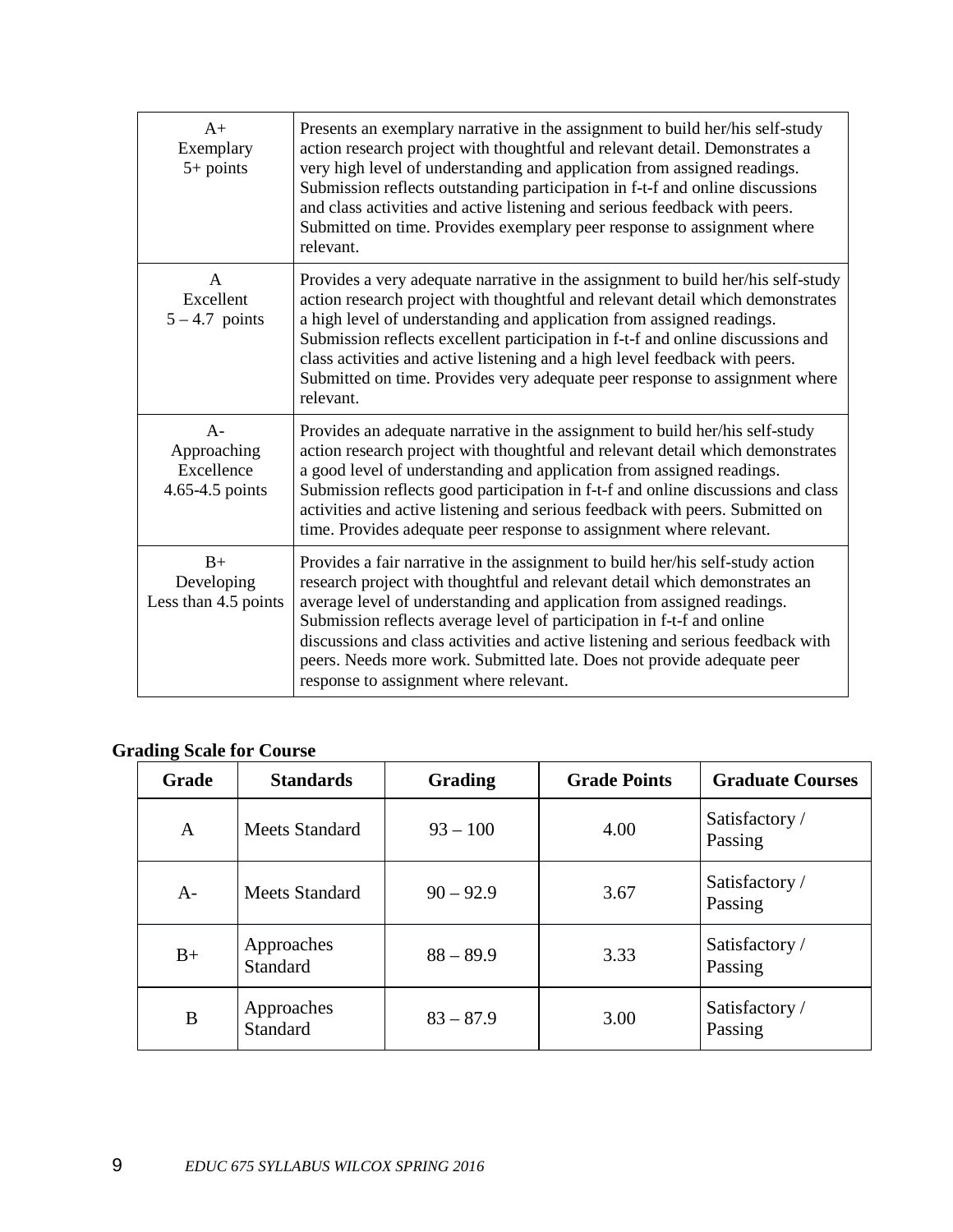| $A+$<br>Exemplary<br>$5+$ points                      | Presents an exemplary narrative in the assignment to build her/his self-study<br>action research project with thoughtful and relevant detail. Demonstrates a<br>very high level of understanding and application from assigned readings.<br>Submission reflects outstanding participation in f-t-f and online discussions<br>and class activities and active listening and serious feedback with peers.<br>Submitted on time. Provides exemplary peer response to assignment where<br>relevant.                         |
|-------------------------------------------------------|-------------------------------------------------------------------------------------------------------------------------------------------------------------------------------------------------------------------------------------------------------------------------------------------------------------------------------------------------------------------------------------------------------------------------------------------------------------------------------------------------------------------------|
| $\mathsf{A}$<br>Excellent<br>$5 - 4.7$ points         | Provides a very adequate narrative in the assignment to build her/his self-study<br>action research project with thoughtful and relevant detail which demonstrates<br>a high level of understanding and application from assigned readings.<br>Submission reflects excellent participation in f-t-f and online discussions and<br>class activities and active listening and a high level feedback with peers.<br>Submitted on time. Provides very adequate peer response to assignment where<br>relevant.               |
| $A -$<br>Approaching<br>Excellence<br>4.65-4.5 points | Provides an adequate narrative in the assignment to build her/his self-study<br>action research project with thoughtful and relevant detail which demonstrates<br>a good level of understanding and application from assigned readings.<br>Submission reflects good participation in f-t-f and online discussions and class<br>activities and active listening and serious feedback with peers. Submitted on<br>time. Provides adequate peer response to assignment where relevant.                                     |
| $B+$<br>Developing<br>Less than 4.5 points            | Provides a fair narrative in the assignment to build her/his self-study action<br>research project with thoughtful and relevant detail which demonstrates an<br>average level of understanding and application from assigned readings.<br>Submission reflects average level of participation in f-t-f and online<br>discussions and class activities and active listening and serious feedback with<br>peers. Needs more work. Submitted late. Does not provide adequate peer<br>response to assignment where relevant. |

# **Grading Scale for Course**

| <b>Grade</b> | <b>Standards</b>              | <b>Grading</b> | <b>Grade Points</b> | <b>Graduate Courses</b>   |
|--------------|-------------------------------|----------------|---------------------|---------------------------|
| A            | Meets Standard                | $93 - 100$     | 4.00                | Satisfactory /<br>Passing |
| $A-$         | Meets Standard                | $90 - 92.9$    | 3.67                | Satisfactory /<br>Passing |
| $B+$         | Approaches<br><b>Standard</b> | $88 - 89.9$    | 3.33                | Satisfactory /<br>Passing |
| B            | Approaches<br><b>Standard</b> | $83 - 87.9$    | 3.00                | Satisfactory /<br>Passing |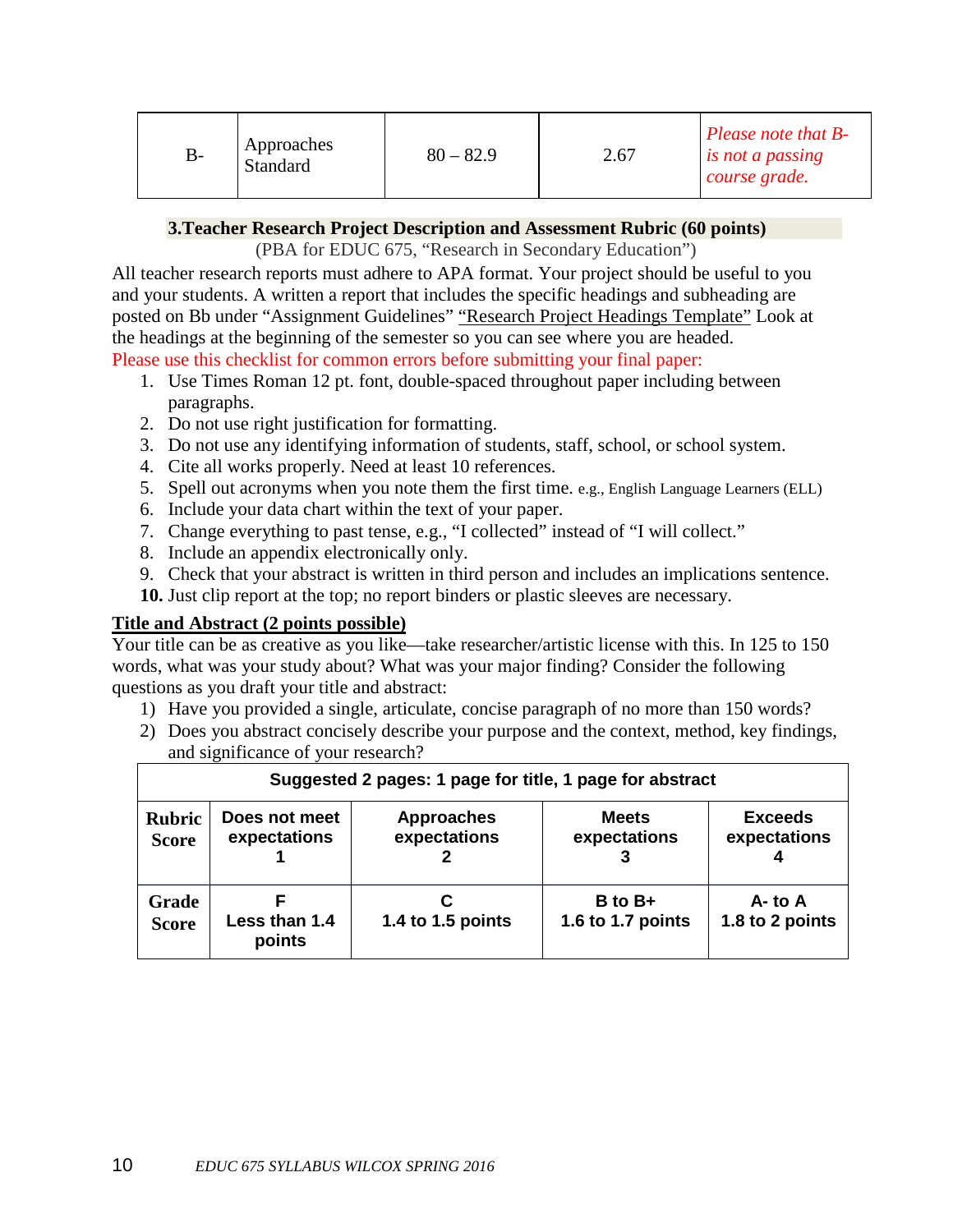| B- | Approaches<br>Standard | $80 - 82.9$ | 2.67 | Please note that $B$ -<br>is not a passing<br>course grade. |
|----|------------------------|-------------|------|-------------------------------------------------------------|
|----|------------------------|-------------|------|-------------------------------------------------------------|

### **3.Teacher Research Project Description and Assessment Rubric (60 points)**

(PBA for EDUC 675, "Research in Secondary Education")

All teacher research reports must adhere to APA format. Your project should be useful to you and your students. A written a report that includes the specific headings and subheading are posted on Bb under "Assignment Guidelines" "Research Project Headings Template" Look at the headings at the beginning of the semester so you can see where you are headed. Please use this checklist for common errors before submitting your final paper:

- 1. Use Times Roman 12 pt. font, double-spaced throughout paper including between paragraphs.
- 2. Do not use right justification for formatting.
- 3. Do not use any identifying information of students, staff, school, or school system.
- 4. Cite all works properly. Need at least 10 references.
- 5. Spell out acronyms when you note them the first time. e.g., English Language Learners (ELL)
- 6. Include your data chart within the text of your paper.
- 7. Change everything to past tense, e.g., "I collected" instead of "I will collect."
- 8. Include an appendix electronically only.
- 9. Check that your abstract is written in third person and includes an implications sentence.
- **10.** Just clip report at the top; no report binders or plastic sleeves are necessary.

### **Title and Abstract (2 points possible)**

Your title can be as creative as you like—take researcher/artistic license with this. In 125 to 150 words, what was your study about? What was your major finding? Consider the following questions as you draft your title and abstract:

- 1) Have you provided a single, articulate, concise paragraph of no more than 150 words?
- 2) Does you abstract concisely describe your purpose and the context, method, key findings, and significance of your research?

 $\overline{\mathbf{u}}$ 

|               | Suggested 2 pages: 1 page for title, 1 page for abstract |                   |                   |                 |  |  |
|---------------|----------------------------------------------------------|-------------------|-------------------|-----------------|--|--|
| <b>Rubric</b> | Does not meet                                            | <b>Approaches</b> | <b>Meets</b>      | <b>Exceeds</b>  |  |  |
| <b>Score</b>  | expectations                                             | expectations      | expectations      | expectations    |  |  |
| Grade         | Less than 1.4                                            | 1.4 to 1.5 points | $B$ to $B+$       | $A -$ to A      |  |  |
| <b>Score</b>  | points                                                   |                   | 1.6 to 1.7 points | 1.8 to 2 points |  |  |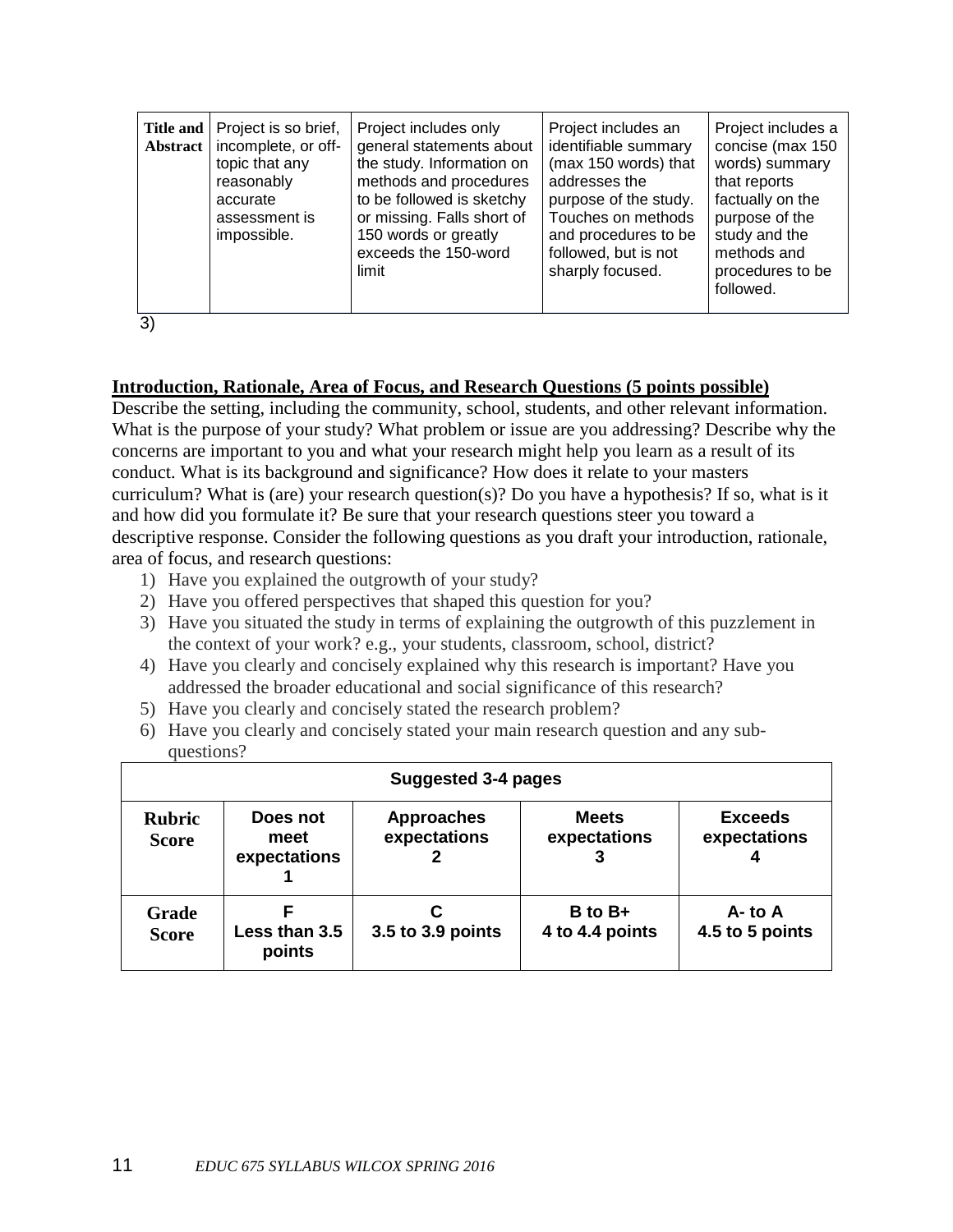| Title and<br>Abstract | Project is so brief,<br>incomplete, or off-<br>topic that any<br>reasonably<br>accurate<br>assessment is<br>impossible. | Project includes only<br>general statements about<br>the study. Information on<br>methods and procedures<br>to be followed is sketchy<br>or missing. Falls short of<br>150 words or greatly<br>exceeds the 150-word<br>limit | Project includes an<br>identifiable summary<br>(max 150 words) that<br>addresses the<br>purpose of the study.<br>Touches on methods<br>and procedures to be<br>followed, but is not<br>sharply focused. | Project includes a<br>concise (max 150<br>words) summary<br>that reports<br>factually on the<br>purpose of the<br>study and the<br>methods and<br>procedures to be<br>followed. |
|-----------------------|-------------------------------------------------------------------------------------------------------------------------|------------------------------------------------------------------------------------------------------------------------------------------------------------------------------------------------------------------------------|---------------------------------------------------------------------------------------------------------------------------------------------------------------------------------------------------------|---------------------------------------------------------------------------------------------------------------------------------------------------------------------------------|
|-----------------------|-------------------------------------------------------------------------------------------------------------------------|------------------------------------------------------------------------------------------------------------------------------------------------------------------------------------------------------------------------------|---------------------------------------------------------------------------------------------------------------------------------------------------------------------------------------------------------|---------------------------------------------------------------------------------------------------------------------------------------------------------------------------------|

3)

### **Introduction, Rationale, Area of Focus, and Research Questions (5 points possible)**

Describe the setting, including the community, school, students, and other relevant information. What is the purpose of your study? What problem or issue are you addressing? Describe why the concerns are important to you and what your research might help you learn as a result of its conduct. What is its background and significance? How does it relate to your masters curriculum? What is (are) your research question(s)? Do you have a hypothesis? If so, what is it and how did you formulate it? Be sure that your research questions steer you toward a descriptive response. Consider the following questions as you draft your introduction, rationale, area of focus, and research questions:

- 1) Have you explained the outgrowth of your study?
- 2) Have you offered perspectives that shaped this question for you?
- 3) Have you situated the study in terms of explaining the outgrowth of this puzzlement in the context of your work? e.g., your students, classroom, school, district?
- 4) Have you clearly and concisely explained why this research is important? Have you addressed the broader educational and social significance of this research?
- 5) Have you clearly and concisely stated the research problem?
- 6) Have you clearly and concisely stated your main research question and any subquestions?

| Suggested 3-4 pages           |                                  |                                   |                                |                                     |  |
|-------------------------------|----------------------------------|-----------------------------------|--------------------------------|-------------------------------------|--|
| <b>Rubric</b><br><b>Score</b> | Does not<br>meet<br>expectations | <b>Approaches</b><br>expectations | <b>Meets</b><br>expectations   | <b>Exceeds</b><br>expectations<br>4 |  |
| Grade<br><b>Score</b>         | Less than 3.5<br>points          | 3.5 to 3.9 points                 | $B$ to $B+$<br>4 to 4.4 points | $A -$ to $A$<br>4.5 to 5 points     |  |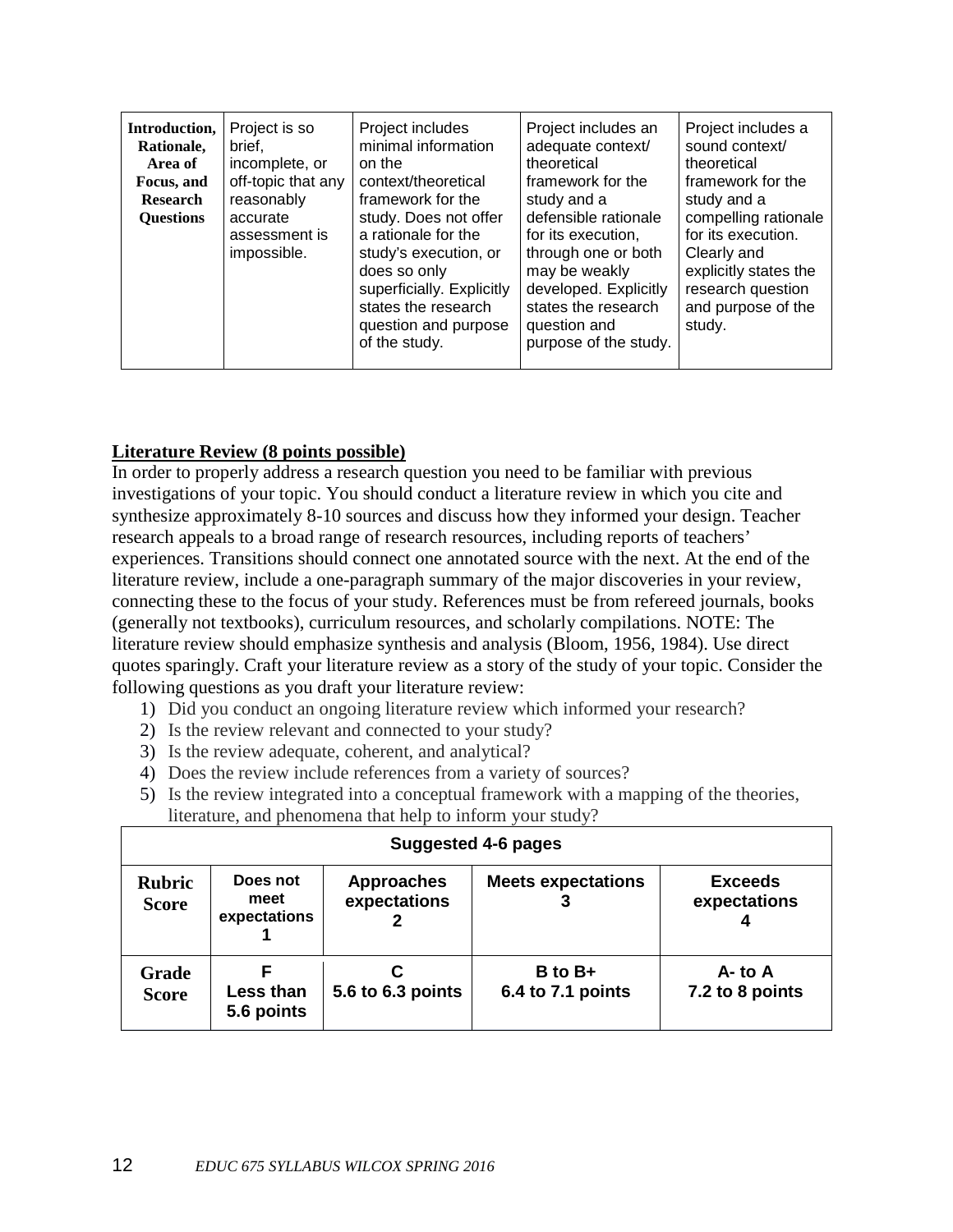| Introduction,<br>Rationale,<br>Area of<br>Focus, and<br><b>Research</b><br><b>Ouestions</b> | Project is so<br>brief.<br>incomplete, or<br>off-topic that any<br>reasonably<br>accurate<br>assessment is<br>impossible. | Project includes<br>minimal information<br>on the<br>context/theoretical<br>framework for the<br>study. Does not offer<br>a rationale for the<br>study's execution, or<br>does so only<br>superficially. Explicitly<br>states the research<br>question and purpose<br>of the study. | Project includes an<br>adequate context/<br>theoretical<br>framework for the<br>study and a<br>defensible rationale<br>for its execution,<br>through one or both<br>may be weakly<br>developed. Explicitly<br>states the research<br>question and<br>purpose of the study. | Project includes a<br>sound context/<br>theoretical<br>framework for the<br>study and a<br>compelling rationale<br>for its execution.<br>Clearly and<br>explicitly states the<br>research question<br>and purpose of the<br>study. |
|---------------------------------------------------------------------------------------------|---------------------------------------------------------------------------------------------------------------------------|-------------------------------------------------------------------------------------------------------------------------------------------------------------------------------------------------------------------------------------------------------------------------------------|----------------------------------------------------------------------------------------------------------------------------------------------------------------------------------------------------------------------------------------------------------------------------|------------------------------------------------------------------------------------------------------------------------------------------------------------------------------------------------------------------------------------|
|---------------------------------------------------------------------------------------------|---------------------------------------------------------------------------------------------------------------------------|-------------------------------------------------------------------------------------------------------------------------------------------------------------------------------------------------------------------------------------------------------------------------------------|----------------------------------------------------------------------------------------------------------------------------------------------------------------------------------------------------------------------------------------------------------------------------|------------------------------------------------------------------------------------------------------------------------------------------------------------------------------------------------------------------------------------|

### **Literature Review (8 points possible)**

In order to properly address a research question you need to be familiar with previous investigations of your topic. You should conduct a literature review in which you cite and synthesize approximately 8-10 sources and discuss how they informed your design. Teacher research appeals to a broad range of research resources, including reports of teachers' experiences. Transitions should connect one annotated source with the next. At the end of the literature review, include a one-paragraph summary of the major discoveries in your review, connecting these to the focus of your study. References must be from refereed journals, books (generally not textbooks), curriculum resources, and scholarly compilations. NOTE: The literature review should emphasize synthesis and analysis (Bloom, 1956, 1984). Use direct quotes sparingly. Craft your literature review as a story of the study of your topic. Consider the following questions as you draft your literature review:

- 1) Did you conduct an ongoing literature review which informed your research?
- 2) Is the review relevant and connected to your study?
- 3) Is the review adequate, coherent, and analytical?
- 4) Does the review include references from a variety of sources?
- 5) Is the review integrated into a conceptual framework with a mapping of the theories, literature, and phenomena that help to inform your study?

| <b>Suggested 4-6 pages</b>    |                                  |                                   |                                  |                                |  |  |
|-------------------------------|----------------------------------|-----------------------------------|----------------------------------|--------------------------------|--|--|
| <b>Rubric</b><br><b>Score</b> | Does not<br>meet<br>expectations | <b>Approaches</b><br>expectations | <b>Meets expectations</b>        | <b>Exceeds</b><br>expectations |  |  |
| <b>Grade</b><br><b>Score</b>  | F<br>Less than<br>5.6 points     | 5.6 to 6.3 points                 | $B$ to $B+$<br>6.4 to 7.1 points | $A -$ to A<br>7.2 to 8 points  |  |  |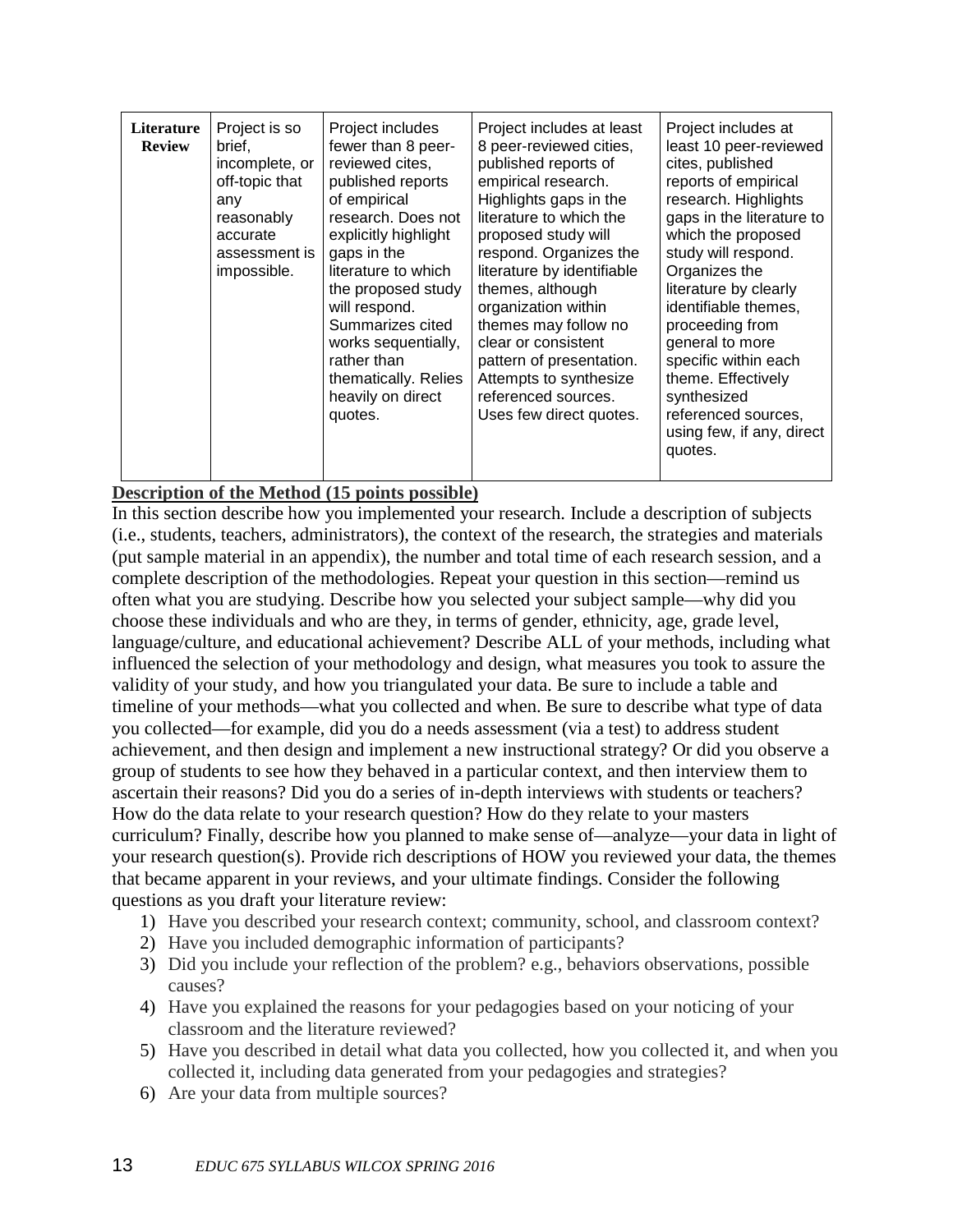| Literature<br><b>Review</b> | Project is so<br>brief,<br>incomplete, or<br>off-topic that<br>any<br>reasonably<br>accurate<br>assessment is<br>impossible. | Project includes<br>fewer than 8 peer-<br>reviewed cites,<br>published reports<br>of empirical<br>research. Does not<br>explicitly highlight<br>gaps in the<br>literature to which<br>the proposed study<br>will respond.<br>Summarizes cited<br>works sequentially,<br>rather than<br>thematically. Relies<br>heavily on direct<br>quotes. | Project includes at least<br>8 peer-reviewed cities,<br>published reports of<br>empirical research.<br>Highlights gaps in the<br>literature to which the<br>proposed study will<br>respond. Organizes the<br>literature by identifiable<br>themes, although<br>organization within<br>themes may follow no<br>clear or consistent<br>pattern of presentation.<br>Attempts to synthesize<br>referenced sources.<br>Uses few direct quotes. | Project includes at<br>least 10 peer-reviewed<br>cites, published<br>reports of empirical<br>research. Highlights<br>gaps in the literature to<br>which the proposed<br>study will respond.<br>Organizes the<br>literature by clearly<br>identifiable themes,<br>proceeding from<br>general to more<br>specific within each<br>theme. Effectively<br>synthesized<br>referenced sources,<br>using few, if any, direct<br>quotes. |
|-----------------------------|------------------------------------------------------------------------------------------------------------------------------|---------------------------------------------------------------------------------------------------------------------------------------------------------------------------------------------------------------------------------------------------------------------------------------------------------------------------------------------|-------------------------------------------------------------------------------------------------------------------------------------------------------------------------------------------------------------------------------------------------------------------------------------------------------------------------------------------------------------------------------------------------------------------------------------------|---------------------------------------------------------------------------------------------------------------------------------------------------------------------------------------------------------------------------------------------------------------------------------------------------------------------------------------------------------------------------------------------------------------------------------|
|-----------------------------|------------------------------------------------------------------------------------------------------------------------------|---------------------------------------------------------------------------------------------------------------------------------------------------------------------------------------------------------------------------------------------------------------------------------------------------------------------------------------------|-------------------------------------------------------------------------------------------------------------------------------------------------------------------------------------------------------------------------------------------------------------------------------------------------------------------------------------------------------------------------------------------------------------------------------------------|---------------------------------------------------------------------------------------------------------------------------------------------------------------------------------------------------------------------------------------------------------------------------------------------------------------------------------------------------------------------------------------------------------------------------------|

### **Description of the Method (15 points possible)**

In this section describe how you implemented your research. Include a description of subjects (i.e., students, teachers, administrators), the context of the research, the strategies and materials (put sample material in an appendix), the number and total time of each research session, and a complete description of the methodologies. Repeat your question in this section—remind us often what you are studying. Describe how you selected your subject sample—why did you choose these individuals and who are they, in terms of gender, ethnicity, age, grade level, language/culture, and educational achievement? Describe ALL of your methods, including what influenced the selection of your methodology and design, what measures you took to assure the validity of your study, and how you triangulated your data. Be sure to include a table and timeline of your methods—what you collected and when. Be sure to describe what type of data you collected—for example, did you do a needs assessment (via a test) to address student achievement, and then design and implement a new instructional strategy? Or did you observe a group of students to see how they behaved in a particular context, and then interview them to ascertain their reasons? Did you do a series of in-depth interviews with students or teachers? How do the data relate to your research question? How do they relate to your masters curriculum? Finally, describe how you planned to make sense of—analyze—your data in light of your research question(s). Provide rich descriptions of HOW you reviewed your data, the themes that became apparent in your reviews, and your ultimate findings. Consider the following questions as you draft your literature review:

- 1) Have you described your research context; community, school, and classroom context?
- 2) Have you included demographic information of participants?
- 3) Did you include your reflection of the problem? e.g., behaviors observations, possible causes?
- 4) Have you explained the reasons for your pedagogies based on your noticing of your classroom and the literature reviewed?
- 5) Have you described in detail what data you collected, how you collected it, and when you collected it, including data generated from your pedagogies and strategies?
- 6) Are your data from multiple sources?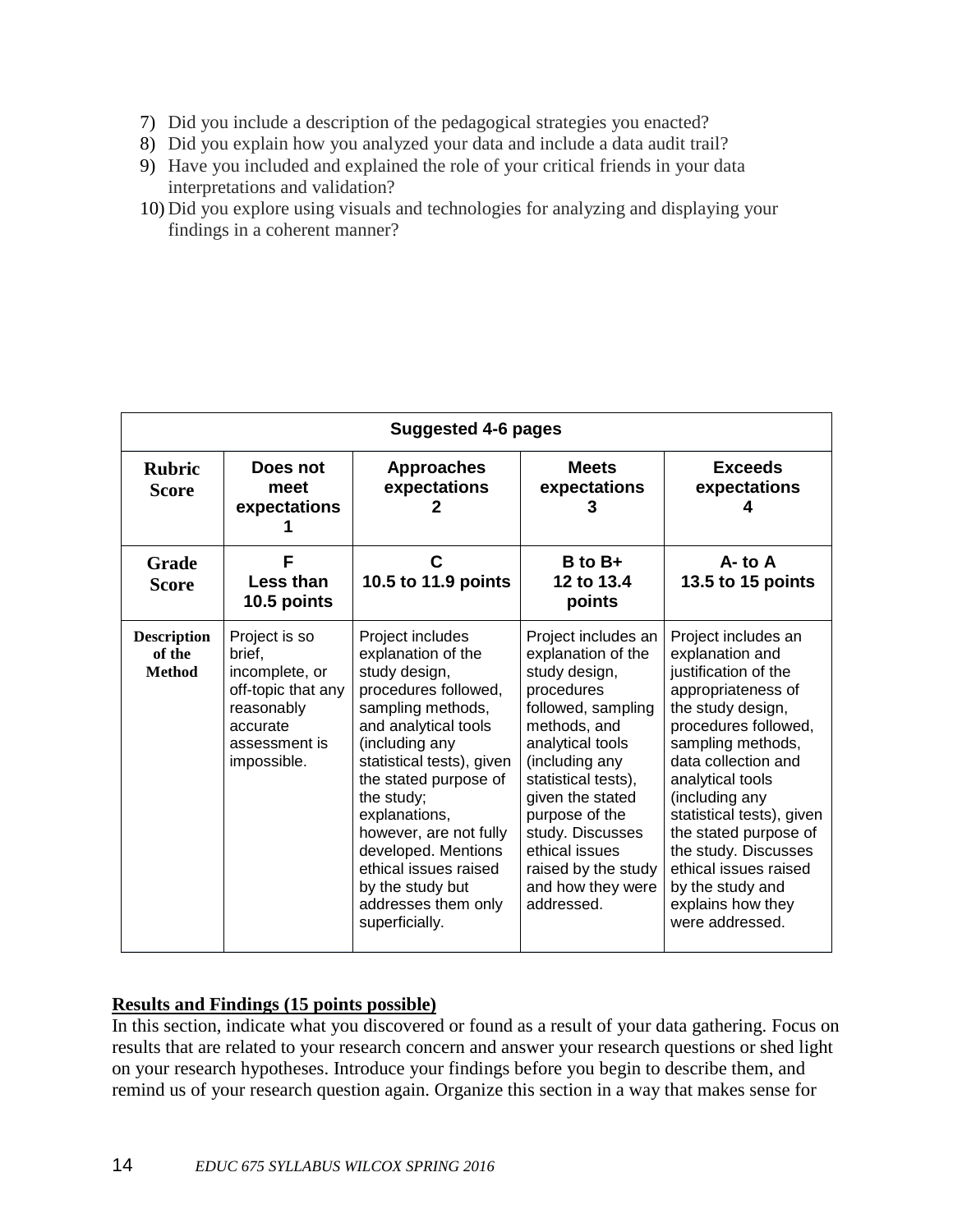- 7) Did you include a description of the pedagogical strategies you enacted?
- 8) Did you explain how you analyzed your data and include a data audit trail?
- 9) Have you included and explained the role of your critical friends in your data interpretations and validation?
- 10) Did you explore using visuals and technologies for analyzing and displaying your findings in a coherent manner?

|                                               | <b>Suggested 4-6 pages</b>                                                                                                |                                                                                                                                                                                                                                                                                                                                                                            |                                                                                                                                                                                                                                                                                                                   |                                                                                                                                                                                                                                                                                                                                                                                        |
|-----------------------------------------------|---------------------------------------------------------------------------------------------------------------------------|----------------------------------------------------------------------------------------------------------------------------------------------------------------------------------------------------------------------------------------------------------------------------------------------------------------------------------------------------------------------------|-------------------------------------------------------------------------------------------------------------------------------------------------------------------------------------------------------------------------------------------------------------------------------------------------------------------|----------------------------------------------------------------------------------------------------------------------------------------------------------------------------------------------------------------------------------------------------------------------------------------------------------------------------------------------------------------------------------------|
| <b>Rubric</b><br><b>Score</b>                 | Does not<br>meet<br>expectations                                                                                          | <b>Approaches</b><br>expectations                                                                                                                                                                                                                                                                                                                                          | <b>Meets</b><br>expectations<br>З                                                                                                                                                                                                                                                                                 | <b>Exceeds</b><br>expectations                                                                                                                                                                                                                                                                                                                                                         |
| <b>Grade</b><br><b>Score</b>                  | F<br>Less than<br>10.5 points                                                                                             | С<br>10.5 to 11.9 points                                                                                                                                                                                                                                                                                                                                                   | $B$ to $B+$<br>12 to 13.4<br>points                                                                                                                                                                                                                                                                               | $A -$ to $A$<br>13.5 to 15 points                                                                                                                                                                                                                                                                                                                                                      |
| <b>Description</b><br>of the<br><b>Method</b> | Project is so<br>brief.<br>incomplete, or<br>off-topic that any<br>reasonably<br>accurate<br>assessment is<br>impossible. | Project includes<br>explanation of the<br>study design,<br>procedures followed,<br>sampling methods,<br>and analytical tools<br>(including any<br>statistical tests), given<br>the stated purpose of<br>the study;<br>explanations,<br>however, are not fully<br>developed. Mentions<br>ethical issues raised<br>by the study but<br>addresses them only<br>superficially. | Project includes an<br>explanation of the<br>study design,<br>procedures<br>followed, sampling<br>methods, and<br>analytical tools<br>(including any<br>statistical tests),<br>given the stated<br>purpose of the<br>study. Discusses<br>ethical issues<br>raised by the study<br>and how they were<br>addressed. | Project includes an<br>explanation and<br>justification of the<br>appropriateness of<br>the study design,<br>procedures followed,<br>sampling methods,<br>data collection and<br>analytical tools<br>(including any<br>statistical tests), given<br>the stated purpose of<br>the study. Discusses<br>ethical issues raised<br>by the study and<br>explains how they<br>were addressed. |

### **Results and Findings (15 points possible)**

In this section, indicate what you discovered or found as a result of your data gathering. Focus on results that are related to your research concern and answer your research questions or shed light on your research hypotheses. Introduce your findings before you begin to describe them, and remind us of your research question again. Organize this section in a way that makes sense for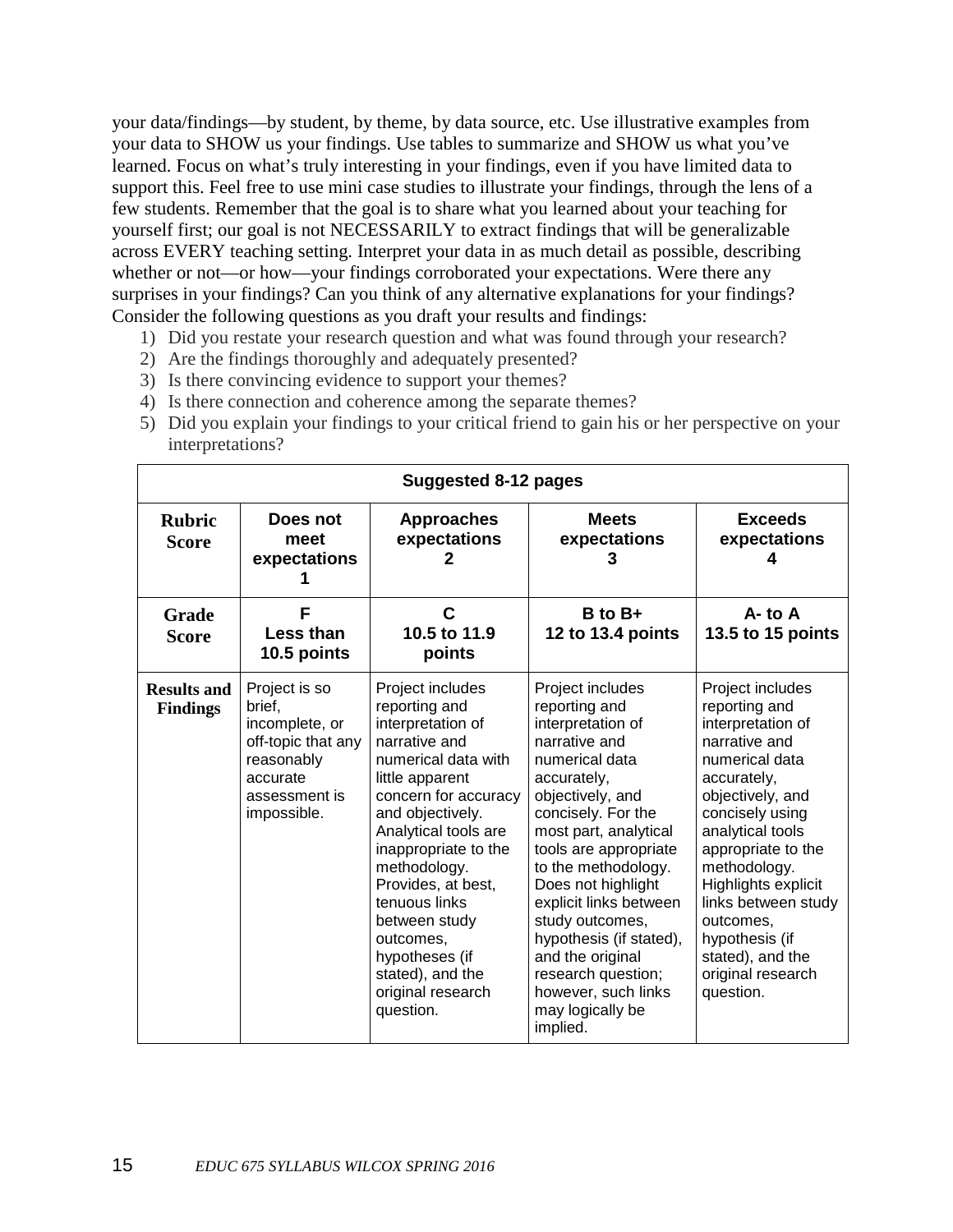your data/findings—by student, by theme, by data source, etc. Use illustrative examples from your data to SHOW us your findings. Use tables to summarize and SHOW us what you've learned. Focus on what's truly interesting in your findings, even if you have limited data to support this. Feel free to use mini case studies to illustrate your findings, through the lens of a few students. Remember that the goal is to share what you learned about your teaching for yourself first; our goal is not NECESSARILY to extract findings that will be generalizable across EVERY teaching setting. Interpret your data in as much detail as possible, describing whether or not—or how—your findings corroborated your expectations. Were there any surprises in your findings? Can you think of any alternative explanations for your findings? Consider the following questions as you draft your results and findings:

- 1) Did you restate your research question and what was found through your research?
- 2) Are the findings thoroughly and adequately presented?
- 3) Is there convincing evidence to support your themes?
- 4) Is there connection and coherence among the separate themes?
- 5) Did you explain your findings to your critical friend to gain his or her perspective on your interpretations?

| <b>Rubric</b><br><b>Score</b>         | Does not<br>meet<br>expectations                                                                                          | <b>Approaches</b><br>expectations                                                                                                                                                                                                                                                                                                                                          | <b>Meets</b><br>expectations                                                                                                                                                                                                                                                                                                                                                                                               | <b>Exceeds</b><br>expectations                                                                                                                                                                                                                                                                                                               |
|---------------------------------------|---------------------------------------------------------------------------------------------------------------------------|----------------------------------------------------------------------------------------------------------------------------------------------------------------------------------------------------------------------------------------------------------------------------------------------------------------------------------------------------------------------------|----------------------------------------------------------------------------------------------------------------------------------------------------------------------------------------------------------------------------------------------------------------------------------------------------------------------------------------------------------------------------------------------------------------------------|----------------------------------------------------------------------------------------------------------------------------------------------------------------------------------------------------------------------------------------------------------------------------------------------------------------------------------------------|
| Grade<br><b>Score</b>                 | F<br>Less than<br>10.5 points                                                                                             | C<br>10.5 to 11.9<br>points                                                                                                                                                                                                                                                                                                                                                | $B$ to $B+$<br>12 to 13.4 points                                                                                                                                                                                                                                                                                                                                                                                           | A-to A<br>13.5 to 15 points                                                                                                                                                                                                                                                                                                                  |
| <b>Results and</b><br><b>Findings</b> | Project is so<br>brief,<br>incomplete, or<br>off-topic that any<br>reasonably<br>accurate<br>assessment is<br>impossible. | Project includes<br>reporting and<br>interpretation of<br>narrative and<br>numerical data with<br>little apparent<br>concern for accuracy<br>and objectively.<br>Analytical tools are<br>inappropriate to the<br>methodology.<br>Provides, at best,<br>tenuous links<br>between study<br>outcomes,<br>hypotheses (if<br>stated), and the<br>original research<br>question. | Project includes<br>reporting and<br>interpretation of<br>narrative and<br>numerical data<br>accurately,<br>objectively, and<br>concisely. For the<br>most part, analytical<br>tools are appropriate<br>to the methodology.<br>Does not highlight<br>explicit links between<br>study outcomes,<br>hypothesis (if stated),<br>and the original<br>research question;<br>however, such links<br>may logically be<br>implied. | Project includes<br>reporting and<br>interpretation of<br>narrative and<br>numerical data<br>accurately,<br>objectively, and<br>concisely using<br>analytical tools<br>appropriate to the<br>methodology.<br>Highlights explicit<br>links between study<br>outcomes,<br>hypothesis (if<br>stated), and the<br>original research<br>question. |

### **Suggested 8-12 pages**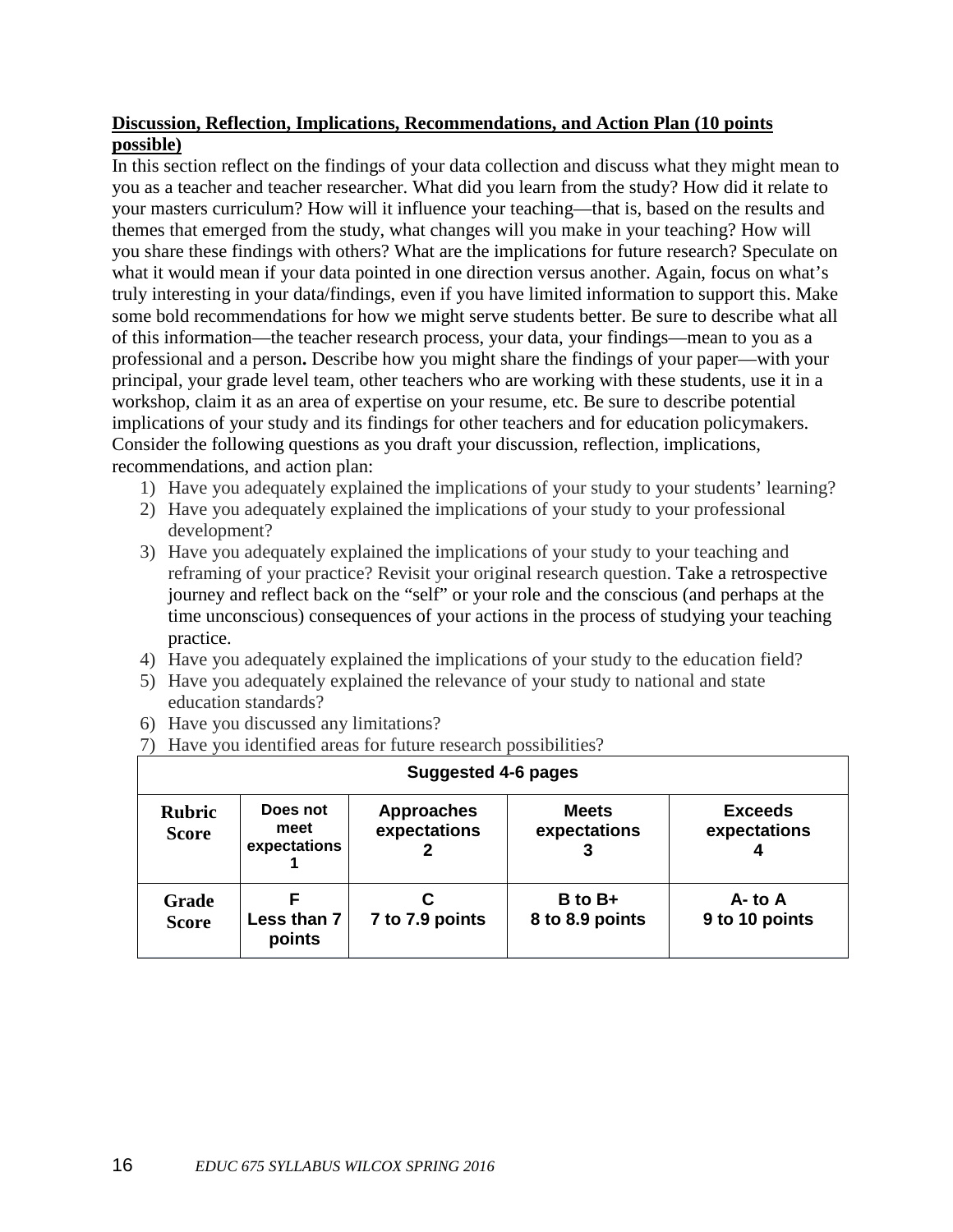### **Discussion, Reflection, Implications, Recommendations, and Action Plan (10 points possible)**

In this section reflect on the findings of your data collection and discuss what they might mean to you as a teacher and teacher researcher. What did you learn from the study? How did it relate to your masters curriculum? How will it influence your teaching—that is, based on the results and themes that emerged from the study, what changes will you make in your teaching? How will you share these findings with others? What are the implications for future research? Speculate on what it would mean if your data pointed in one direction versus another. Again, focus on what's truly interesting in your data/findings, even if you have limited information to support this. Make some bold recommendations for how we might serve students better. Be sure to describe what all of this information—the teacher research process, your data, your findings—mean to you as a professional and a person**.** Describe how you might share the findings of your paper—with your principal, your grade level team, other teachers who are working with these students, use it in a workshop, claim it as an area of expertise on your resume, etc. Be sure to describe potential implications of your study and its findings for other teachers and for education policymakers. Consider the following questions as you draft your discussion, reflection, implications, recommendations, and action plan:

- 1) Have you adequately explained the implications of your study to your students' learning?
- 2) Have you adequately explained the implications of your study to your professional development?
- 3) Have you adequately explained the implications of your study to your teaching and reframing of your practice? Revisit your original research question. Take a retrospective journey and reflect back on the "self" or your role and the conscious (and perhaps at the time unconscious) consequences of your actions in the process of studying your teaching practice.
- 4) Have you adequately explained the implications of your study to the education field?
- 5) Have you adequately explained the relevance of your study to national and state education standards?
- 6) Have you discussed any limitations?
- 7) Have you identified areas for future research possibilities?

| Suggested 4-6 pages           |                                  |                                   |                                |                                |
|-------------------------------|----------------------------------|-----------------------------------|--------------------------------|--------------------------------|
| <b>Rubric</b><br><b>Score</b> | Does not<br>meet<br>expectations | <b>Approaches</b><br>expectations | <b>Meets</b><br>expectations   | <b>Exceeds</b><br>expectations |
| <b>Grade</b><br><b>Score</b>  | Less than 7<br>points            | 7 to 7.9 points                   | $B$ to $B+$<br>8 to 8.9 points | $A - t_0 A$<br>9 to 10 points  |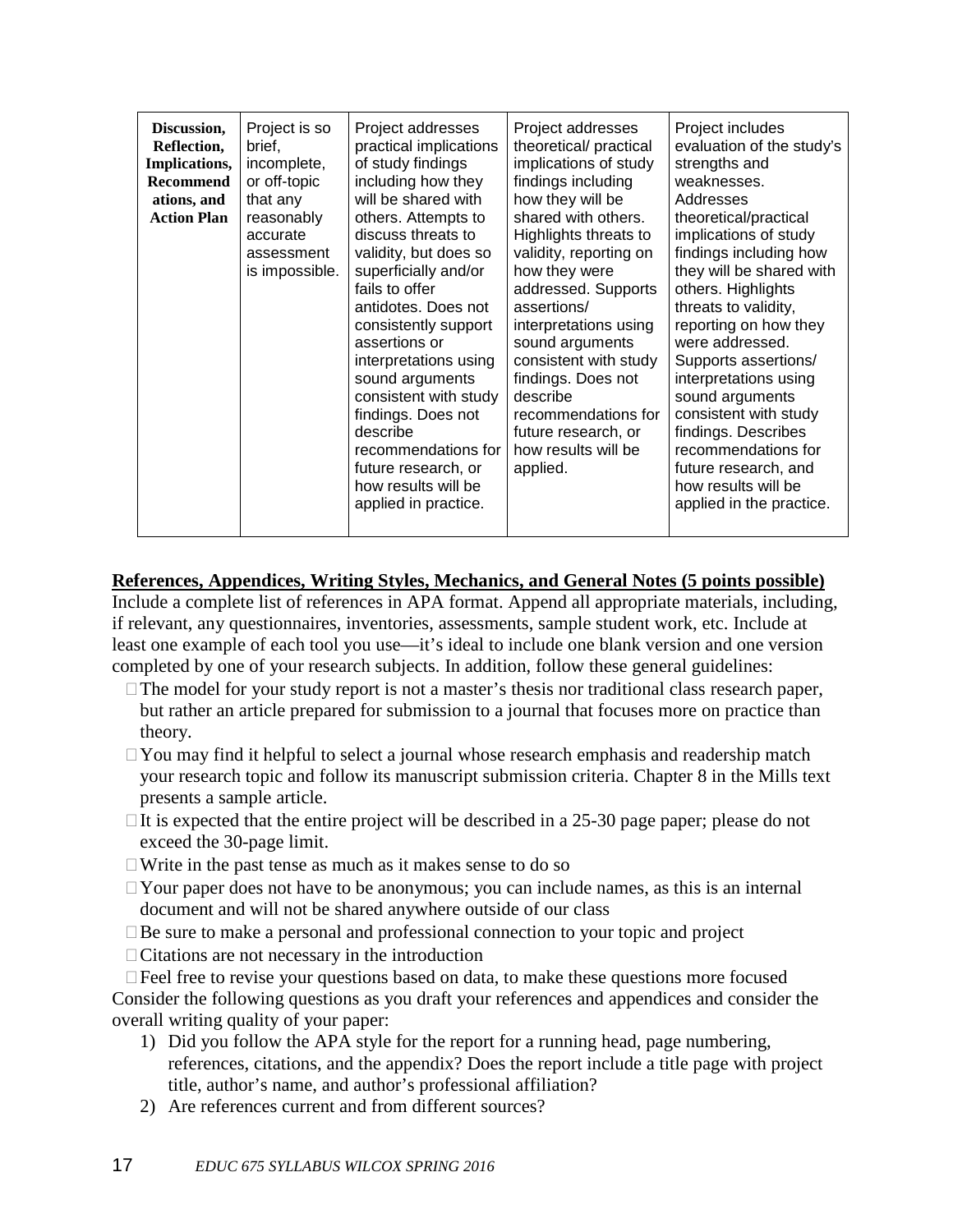| including how they<br>findings including<br>weaknesses.<br>Recommend<br>or off-topic<br>how they will be<br>will be shared with<br>that any<br>Addresses<br>ations, and<br>shared with others.<br><b>Action Plan</b><br>others. Attempts to<br>theoretical/practical<br>reasonably<br>implications of study<br>discuss threats to<br>Highlights threats to<br>accurate<br>validity, but does so<br>validity, reporting on<br>assessment<br>is impossible.<br>superficially and/or<br>how they were<br>fails to offer<br>addressed. Supports<br>others. Highlights<br>threats to validity,<br>antidotes. Does not<br>assertions/<br>consistently support<br>interpretations using<br>sound arguments<br>were addressed.<br>assertions or<br>consistent with study<br>interpretations using<br>Supports assertions/<br>findings. Does not<br>sound arguments<br>interpretations using<br>consistent with study<br>sound arguments<br>describe<br>consistent with study<br>findings. Does not<br>recommendations for<br>describe<br>findings. Describes<br>future research, or<br>recommendations for<br>recommendations for<br>how results will be<br>future research, or<br>applied.<br>future research, and<br>how results will be<br>how results will be<br>applied in practice. | Discussion,<br>Reflection,<br>Implications, | Project is so<br>brief,<br>incomplete, | Project addresses<br>practical implications<br>of study findings | Project addresses<br>theoretical/ practical<br>implications of study | Project includes<br>evaluation of the study's<br>strengths and<br>findings including how<br>they will be shared with<br>reporting on how they<br>applied in the practice. |
|-----------------------------------------------------------------------------------------------------------------------------------------------------------------------------------------------------------------------------------------------------------------------------------------------------------------------------------------------------------------------------------------------------------------------------------------------------------------------------------------------------------------------------------------------------------------------------------------------------------------------------------------------------------------------------------------------------------------------------------------------------------------------------------------------------------------------------------------------------------------------------------------------------------------------------------------------------------------------------------------------------------------------------------------------------------------------------------------------------------------------------------------------------------------------------------------------------------------------------------------------------------------------------------|---------------------------------------------|----------------------------------------|------------------------------------------------------------------|----------------------------------------------------------------------|---------------------------------------------------------------------------------------------------------------------------------------------------------------------------|
|-----------------------------------------------------------------------------------------------------------------------------------------------------------------------------------------------------------------------------------------------------------------------------------------------------------------------------------------------------------------------------------------------------------------------------------------------------------------------------------------------------------------------------------------------------------------------------------------------------------------------------------------------------------------------------------------------------------------------------------------------------------------------------------------------------------------------------------------------------------------------------------------------------------------------------------------------------------------------------------------------------------------------------------------------------------------------------------------------------------------------------------------------------------------------------------------------------------------------------------------------------------------------------------|---------------------------------------------|----------------------------------------|------------------------------------------------------------------|----------------------------------------------------------------------|---------------------------------------------------------------------------------------------------------------------------------------------------------------------------|

# **References, Appendices, Writing Styles, Mechanics, and General Notes (5 points possible)**

Include a complete list of references in APA format. Append all appropriate materials, including, if relevant, any questionnaires, inventories, assessments, sample student work, etc. Include at least one example of each tool you use—it's ideal to include one blank version and one version completed by one of your research subjects. In addition, follow these general guidelines:

- $\Box$  The model for your study report is not a master's thesis nor traditional class research paper, but rather an article prepared for submission to a journal that focuses more on practice than theory.
- $\Box$  You may find it helpful to select a journal whose research emphasis and readership match your research topic and follow its manuscript submission criteria. Chapter 8 in the Mills text presents a sample article.
- $\Box$  It is expected that the entire project will be described in a 25-30 page paper; please do not exceed the 30-page limit.
- $\Box$  Write in the past tense as much as it makes sense to do so
- $\Box$  Your paper does not have to be anonymous; you can include names, as this is an internal document and will not be shared anywhere outside of our class
- $\square$  Be sure to make a personal and professional connection to your topic and project
- $\Box$  Citations are not necessary in the introduction

 $\Box$  Feel free to revise your questions based on data, to make these questions more focused Consider the following questions as you draft your references and appendices and consider the overall writing quality of your paper:

- 1) Did you follow the APA style for the report for a running head, page numbering, references, citations, and the appendix? Does the report include a title page with project title, author's name, and author's professional affiliation?
- 2) Are references current and from different sources?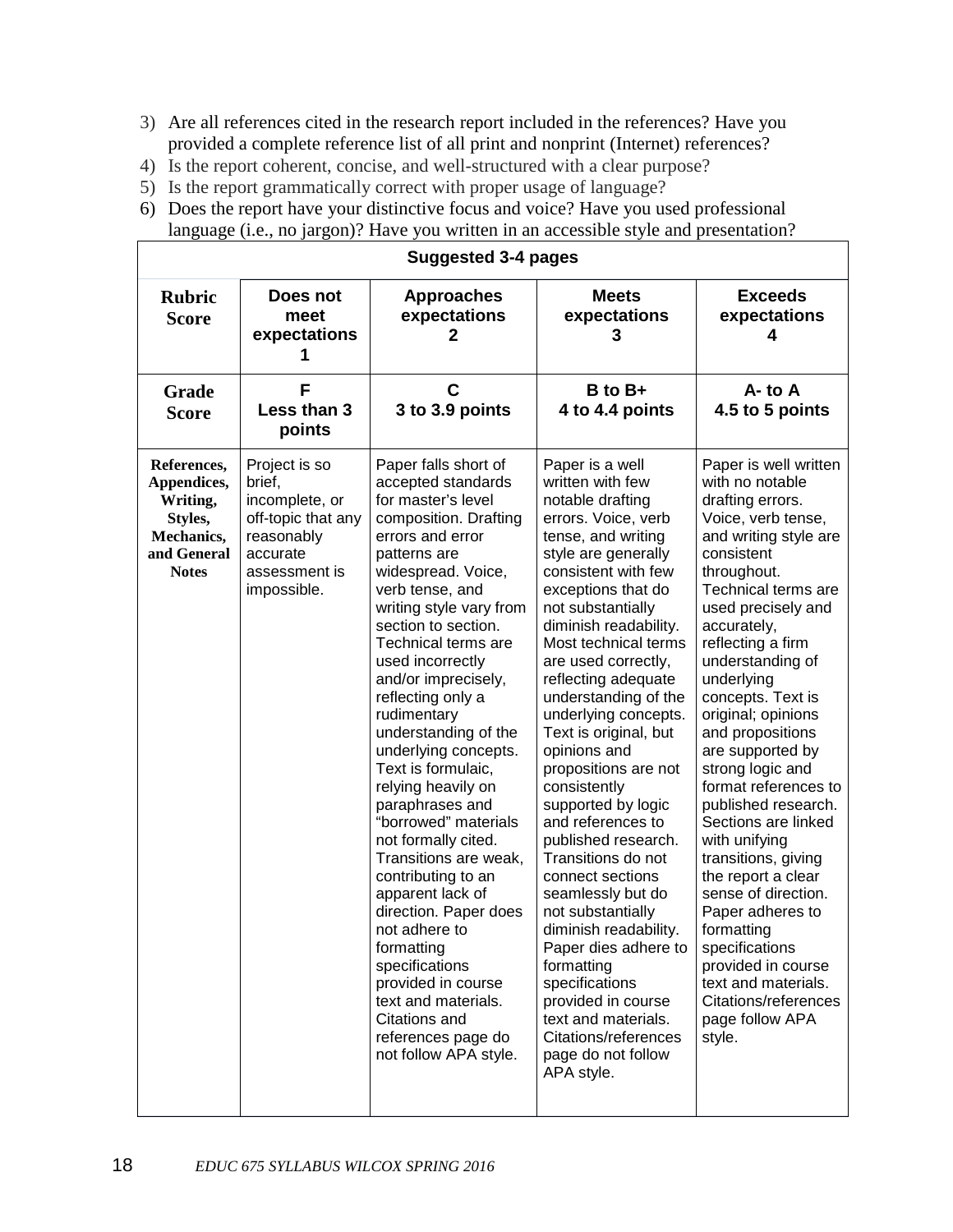- 3) Are all references cited in the research report included in the references? Have you provided a complete reference list of all print and nonprint (Internet) references?
- 4) Is the report coherent, concise, and well-structured with a clear purpose?
- 5) Is the report grammatically correct with proper usage of language?
- 6) Does the report have your distinctive focus and voice? Have you used professional language (i.e., no jargon)? Have you written in an accessible style and presentation?

|                                                                                                | <b>Suggested 3-4 pages</b>                                                                                                |                                                                                                                                                                                                                                                                                                                                                                                                                                                                                                                                                                                                                                                                                                                                                        |                                                                                                                                                                                                                                                                                                                                                                                                                                                                                                                                                                                                                                                                                                                                                                               |                                                                                                                                                                                                                                                                                                                                                                                                                                                                                                                                                                                                                                                                                     |  |
|------------------------------------------------------------------------------------------------|---------------------------------------------------------------------------------------------------------------------------|--------------------------------------------------------------------------------------------------------------------------------------------------------------------------------------------------------------------------------------------------------------------------------------------------------------------------------------------------------------------------------------------------------------------------------------------------------------------------------------------------------------------------------------------------------------------------------------------------------------------------------------------------------------------------------------------------------------------------------------------------------|-------------------------------------------------------------------------------------------------------------------------------------------------------------------------------------------------------------------------------------------------------------------------------------------------------------------------------------------------------------------------------------------------------------------------------------------------------------------------------------------------------------------------------------------------------------------------------------------------------------------------------------------------------------------------------------------------------------------------------------------------------------------------------|-------------------------------------------------------------------------------------------------------------------------------------------------------------------------------------------------------------------------------------------------------------------------------------------------------------------------------------------------------------------------------------------------------------------------------------------------------------------------------------------------------------------------------------------------------------------------------------------------------------------------------------------------------------------------------------|--|
| <b>Rubric</b><br><b>Score</b>                                                                  | Does not<br>meet<br>expectations                                                                                          | <b>Approaches</b><br>expectations<br>2                                                                                                                                                                                                                                                                                                                                                                                                                                                                                                                                                                                                                                                                                                                 | <b>Meets</b><br>expectations<br>З                                                                                                                                                                                                                                                                                                                                                                                                                                                                                                                                                                                                                                                                                                                                             | <b>Exceeds</b><br>expectations<br>4                                                                                                                                                                                                                                                                                                                                                                                                                                                                                                                                                                                                                                                 |  |
| Grade<br><b>Score</b>                                                                          | F<br>Less than 3<br>points                                                                                                | C<br>3 to 3.9 points                                                                                                                                                                                                                                                                                                                                                                                                                                                                                                                                                                                                                                                                                                                                   | B to B+<br>4 to 4.4 points                                                                                                                                                                                                                                                                                                                                                                                                                                                                                                                                                                                                                                                                                                                                                    | $A - to A$<br>4.5 to 5 points                                                                                                                                                                                                                                                                                                                                                                                                                                                                                                                                                                                                                                                       |  |
| References,<br>Appendices,<br>Writing,<br>Styles,<br>Mechanics,<br>and General<br><b>Notes</b> | Project is so<br>brief,<br>incomplete, or<br>off-topic that any<br>reasonably<br>accurate<br>assessment is<br>impossible. | Paper falls short of<br>accepted standards<br>for master's level<br>composition. Drafting<br>errors and error<br>patterns are<br>widespread. Voice,<br>verb tense, and<br>writing style vary from<br>section to section.<br>Technical terms are<br>used incorrectly<br>and/or imprecisely,<br>reflecting only a<br>rudimentary<br>understanding of the<br>underlying concepts.<br>Text is formulaic,<br>relying heavily on<br>paraphrases and<br>"borrowed" materials<br>not formally cited.<br>Transitions are weak,<br>contributing to an<br>apparent lack of<br>direction. Paper does<br>not adhere to<br>formatting<br>specifications<br>provided in course<br>text and materials.<br>Citations and<br>references page do<br>not follow APA style. | Paper is a well<br>written with few<br>notable drafting<br>errors. Voice, verb<br>tense, and writing<br>style are generally<br>consistent with few<br>exceptions that do<br>not substantially<br>diminish readability.<br>Most technical terms<br>are used correctly,<br>reflecting adequate<br>understanding of the<br>underlying concepts.<br>Text is original, but<br>opinions and<br>propositions are not<br>consistently<br>supported by logic<br>and references to<br>published research.<br>Transitions do not<br>connect sections<br>seamlessly but do<br>not substantially<br>diminish readability.<br>Paper dies adhere to<br>formatting<br>specifications<br>provided in course<br>text and materials.<br>Citations/references<br>page do not follow<br>APA style. | Paper is well written<br>with no notable<br>drafting errors.<br>Voice, verb tense,<br>and writing style are<br>consistent<br>throughout.<br>Technical terms are<br>used precisely and<br>accurately,<br>reflecting a firm<br>understanding of<br>underlying<br>concepts. Text is<br>original; opinions<br>and propositions<br>are supported by<br>strong logic and<br>format references to<br>published research.<br>Sections are linked<br>with unifying<br>transitions, giving<br>the report a clear<br>sense of direction.<br>Paper adheres to<br>formatting<br>specifications<br>provided in course<br>text and materials.<br>Citations/references<br>page follow APA<br>style. |  |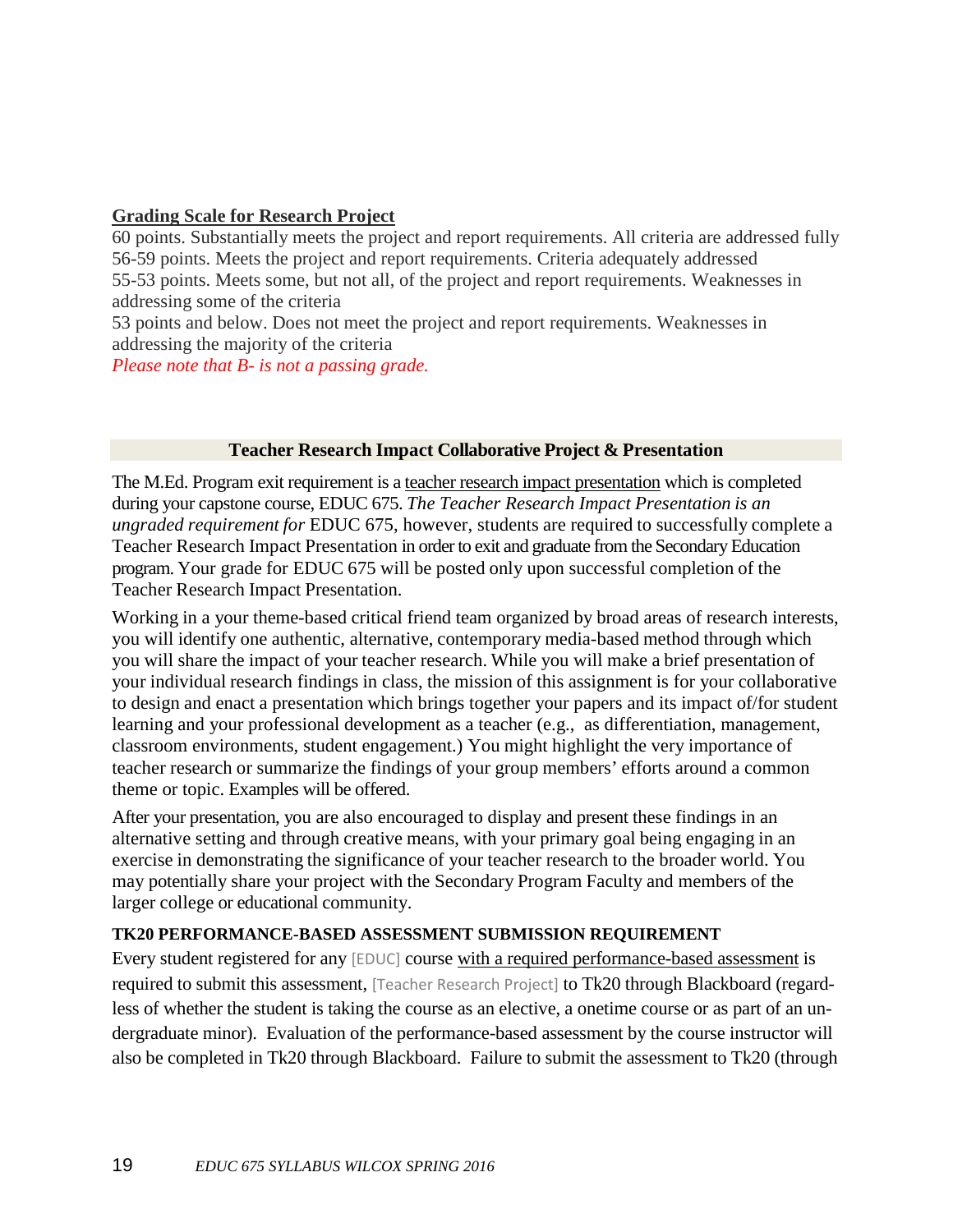### **Grading Scale for Research Project**

60 points. Substantially meets the project and report requirements. All criteria are addressed fully 56-59 points. Meets the project and report requirements. Criteria adequately addressed 55-53 points. Meets some, but not all, of the project and report requirements. Weaknesses in addressing some of the criteria

53 points and below. Does not meet the project and report requirements. Weaknesses in addressing the majority of the criteria

*Please note that B- is not a passing grade.*

### **Teacher Research Impact Collaborative Project & Presentation**

The M.Ed. Program exit requirement is a teacher research impact presentation which is completed during your capstone course, EDUC 675. *The Teacher Research Impact Presentation is an ungraded requirement for* EDUC 675, however, students are required to successfully complete a Teacher Research Impact Presentation in order to exit and graduate from the Secondary Education program. Your grade for EDUC 675 will be posted only upon successful completion of the Teacher Research Impact Presentation.

Working in a your theme-based critical friend team organized by broad areas of research interests, you will identify one authentic, alternative, contemporary media-based method through which you will share the impact of your teacher research. While you will make a brief presentation of your individual research findings in class, the mission of this assignment is for your collaborative to design and enact a presentation which brings together your papers and its impact of/for student learning and your professional development as a teacher (e.g., as differentiation, management, classroom environments, student engagement.) You might highlight the very importance of teacher research or summarize the findings of your group members' efforts around a common theme or topic. Examples will be offered.

After your presentation, you are also encouraged to display and present these findings in an alternative setting and through creative means, with your primary goal being engaging in an exercise in demonstrating the significance of your teacher research to the broader world. You may potentially share your project with the Secondary Program Faculty and members of the larger college or educational community.

### **TK20 PERFORMANCE-BASED ASSESSMENT SUBMISSION REQUIREMENT**

Every student registered for any [EDUC] course with a required performance-based assessment is required to submit this assessment, [Teacher Research Project] to Tk20 through Blackboard (regardless of whether the student is taking the course as an elective, a onetime course or as part of an undergraduate minor). Evaluation of the performance-based assessment by the course instructor will also be completed in Tk20 through Blackboard. Failure to submit the assessment to Tk20 (through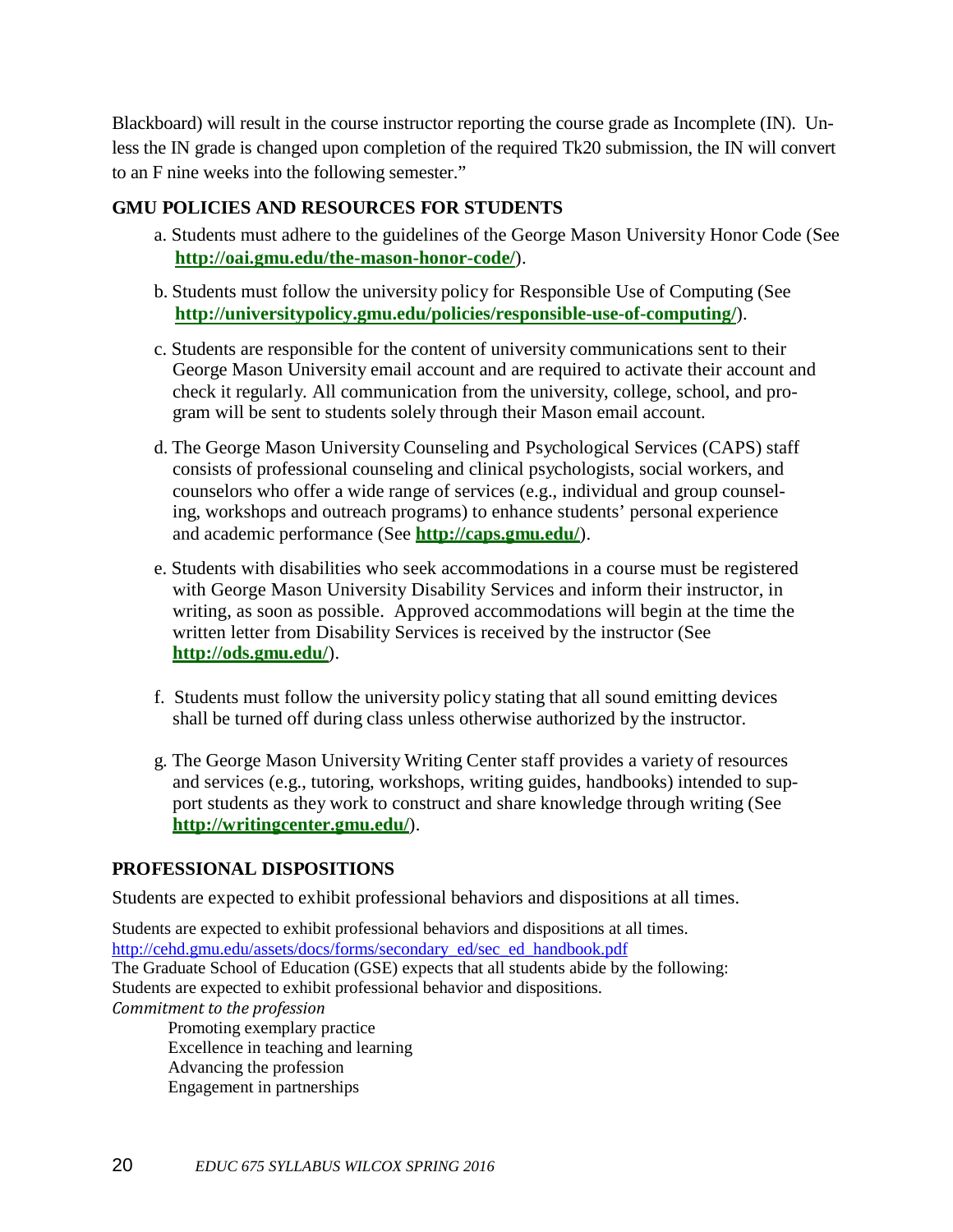Blackboard) will result in the course instructor reporting the course grade as Incomplete (IN). Unless the IN grade is changed upon completion of the required Tk20 submission, the IN will convert to an F nine weeks into the following semester."

### **GMU POLICIES AND RESOURCES FOR STUDENTS**

- a. Students must adhere to the guidelines of the George Mason University Honor Code (See **<http://oai.gmu.edu/the-mason-honor-code/>**).
- b. Students must follow the university policy for Responsible Use of Computing (See **<http://universitypolicy.gmu.edu/policies/responsible-use-of-computing/>**).
- c. Students are responsible for the content of university communications sent to their George Mason University email account and are required to activate their account and check it regularly. All communication from the university, college, school, and program will be sent to students solely through their Mason email account.
- d. The George Mason University Counseling and Psychological Services (CAPS) staff consists of professional counseling and clinical psychologists, social workers, and counselors who offer a wide range of services (e.g., individual and group counseling, workshops and outreach programs) to enhance students' personal experience and academic performance (See **<http://caps.gmu.edu/>**).
- e. Students with disabilities who seek accommodations in a course must be registered with George Mason University Disability Services and inform their instructor, in writing, as soon as possible. Approved accommodations will begin at the time the written letter from Disability Services is received by the instructor (See **<http://ods.gmu.edu/>**).
- f. Students must follow the university policy stating that all sound emitting devices shall be turned off during class unless otherwise authorized by the instructor.
- g. The George Mason University Writing Center staff provides a variety of resources and services (e.g., tutoring, workshops, writing guides, handbooks) intended to support students as they work to construct and share knowledge through writing (See **<http://writingcenter.gmu.edu/>**).

### **PROFESSIONAL DISPOSITIONS**

Students are expected to exhibit professional behaviors and dispositions at all times.

Students are expected to exhibit professional behaviors and dispositions at all times. [http://cehd.gmu.edu/assets/docs/forms/secondary\\_ed/sec\\_ed\\_handbook.pdf](http://cehd.gmu.edu/assets/docs/forms/secondary_ed/sec_ed_handbook.pdf) The Graduate School of Education (GSE) expects that all students abide by the following: Students are expected to exhibit professional behavior and dispositions. *Commitment to the profession* Promoting exemplary practice

Excellence in teaching and learning Advancing the profession Engagement in partnerships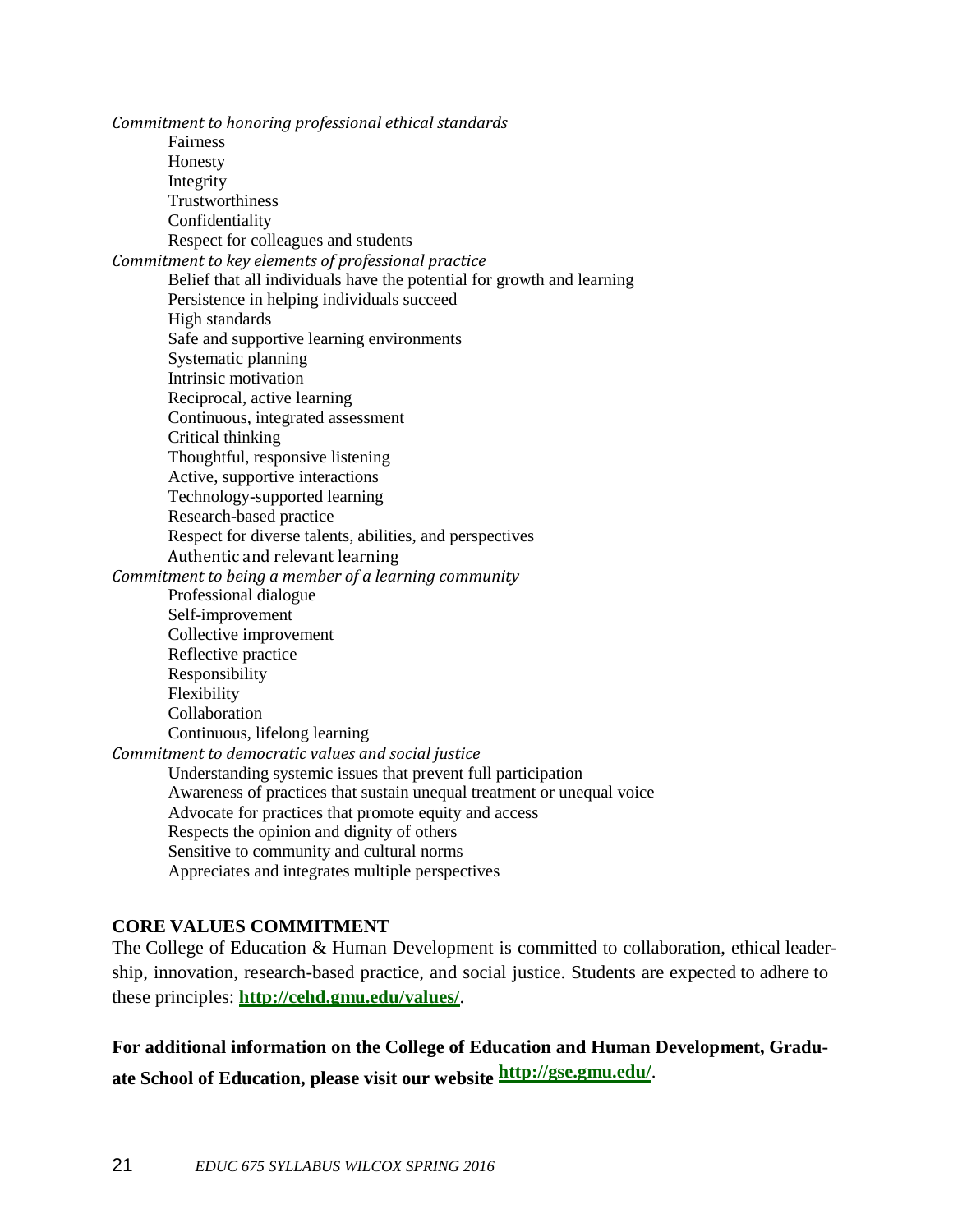*Commitment to honoring professional ethical standards* Fairness Honesty Integrity Trustworthiness Confidentiality Respect for colleagues and students *Commitment to key elements of professional practice* Belief that all individuals have the potential for growth and learning Persistence in helping individuals succeed High standards Safe and supportive learning environments Systematic planning Intrinsic motivation Reciprocal, active learning Continuous, integrated assessment Critical thinking Thoughtful, responsive listening Active, supportive interactions Technology-supported learning Research-based practice Respect for diverse talents, abilities, and perspectives Authentic and relevant learning *Commitment to being a member of a learning community* Professional dialogue Self-improvement Collective improvement Reflective practice Responsibility Flexibility Collaboration Continuous, lifelong learning *Commitment to democratic values and social justice* Understanding systemic issues that prevent full participation Awareness of practices that sustain unequal treatment or unequal voice Advocate for practices that promote equity and access Respects the opinion and dignity of others Sensitive to community and cultural norms Appreciates and integrates multiple perspectives

### **CORE VALUES COMMITMENT**

The College of Education & Human Development is committed to collaboration, ethical leadership, innovation, research-based practice, and social justice. Students are expected to adhere to these principles: **<http://cehd.gmu.edu/values/>**.

**For additional information on the College of Education and Human Development, Graduate School of Education, please visit our website <http://gse.gmu.edu/>**.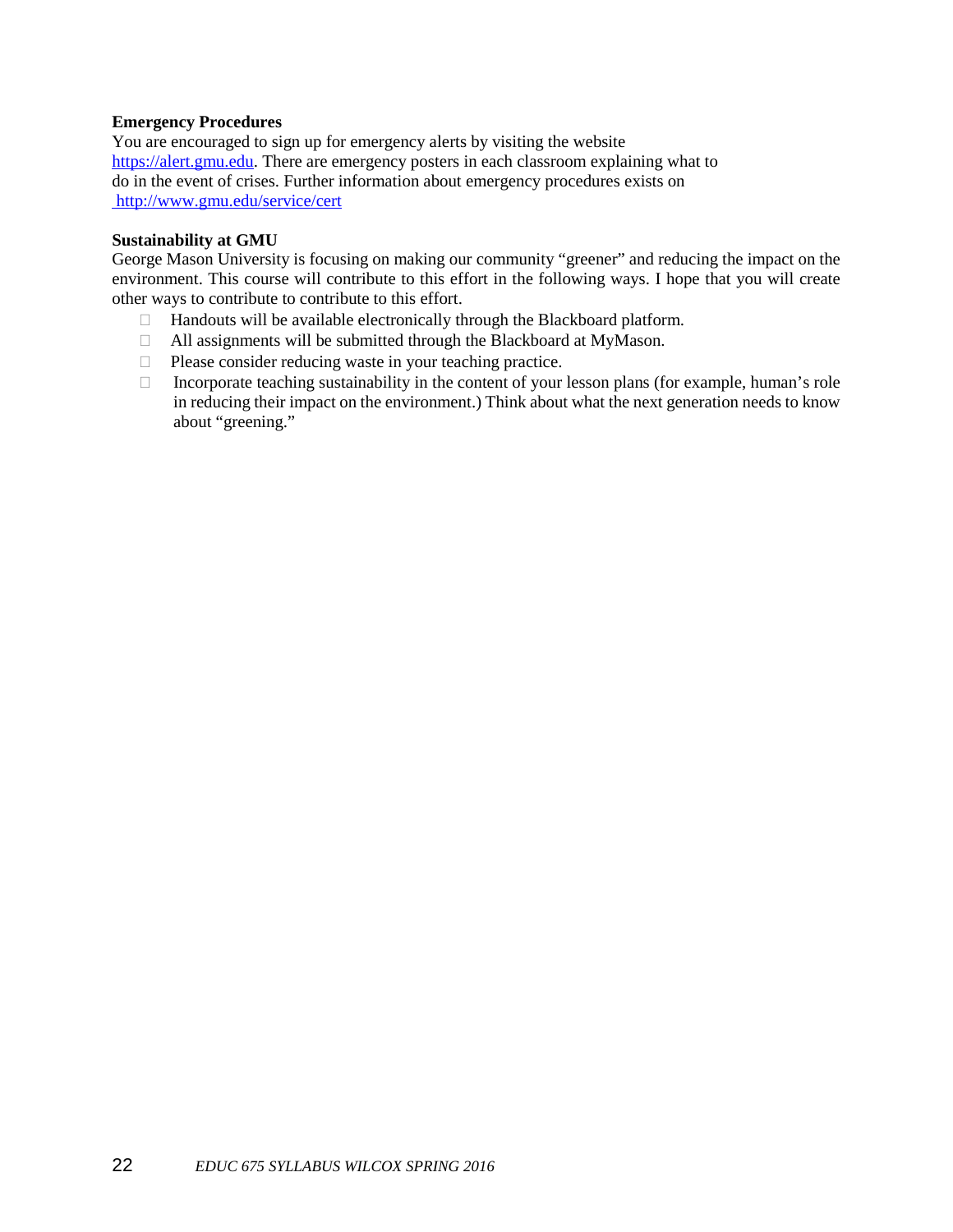### **Emergency Procedures**

You are encouraged to sign up for emergency alerts by visiting the website [https://alert.gmu.edu.](https://alert.gmu.edu/) There are emergency posters in each classroom explaining what to do in the event of crises. Further information about emergency procedures exists on http://www.gmu.edu/service/cert

### **Sustainability at GMU**

George Mason University is focusing on making our community "greener" and reducing the impact on the environment. This course will contribute to this effort in the following ways. I hope that you will create other ways to contribute to contribute to this effort.

- $\Box$  Handouts will be available electronically through the Blackboard platform.
- All assignments will be submitted through the Blackboard at MyMason.
- $\Box$  Please consider reducing waste in your teaching practice.
- $\Box$  Incorporate teaching sustainability in the content of your lesson plans (for example, human's role in reducing their impact on the environment.) Think about what the next generation needs to know about "greening."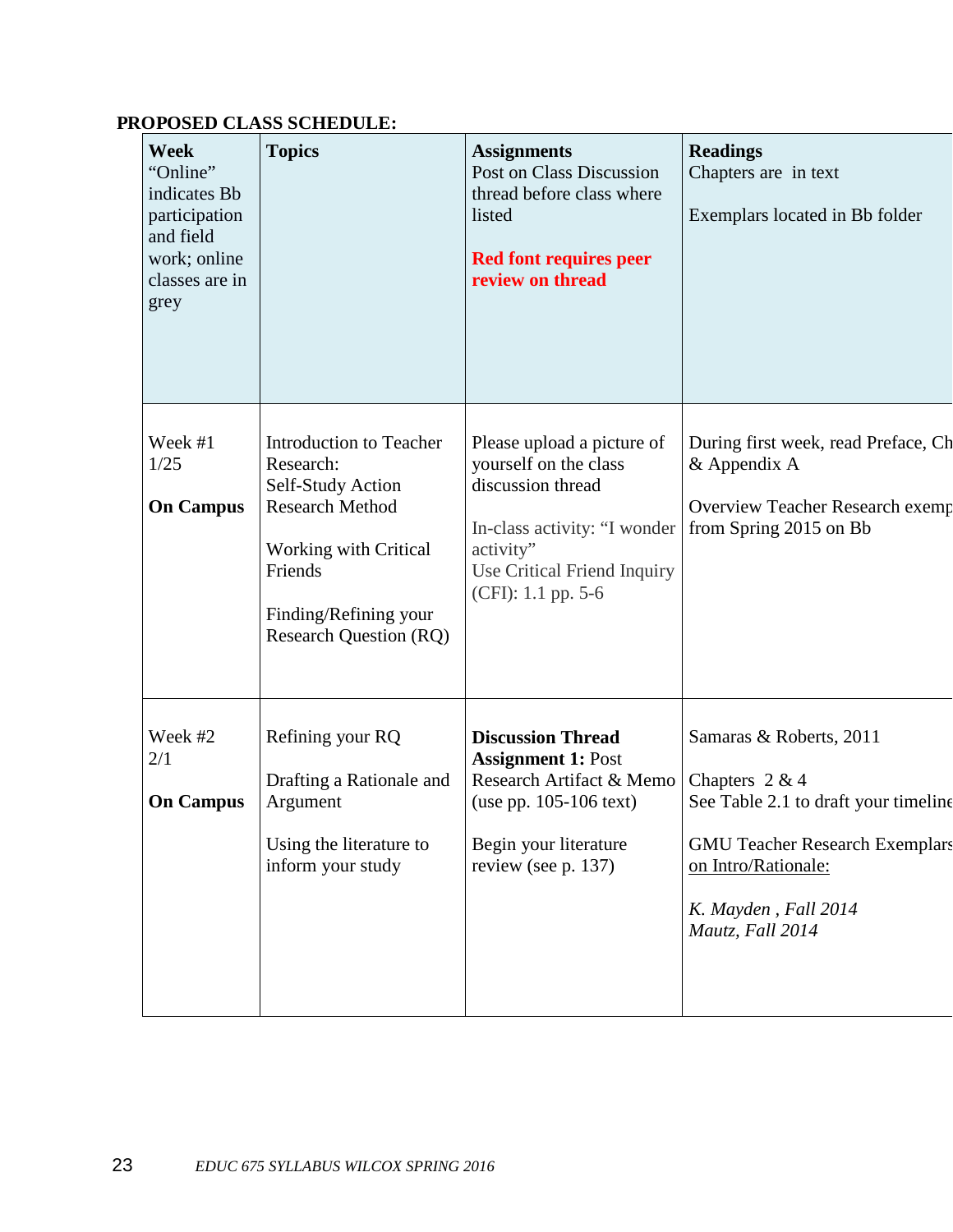# **PROPOSED CLASS SCHEDULE:**

| Week<br>"Online"<br>indicates Bb<br>participation<br>and field<br>work; online<br>classes are in<br>grey | <b>Topics</b>                                                                                                                                                                     | <b>Assignments</b><br>Post on Class Discussion<br>thread before class where<br>listed<br><b>Red font requires peer</b><br>review on thread                                 | <b>Readings</b><br>Chapters are in text<br>Exemplars located in Bb folder                                                                                                                       |
|----------------------------------------------------------------------------------------------------------|-----------------------------------------------------------------------------------------------------------------------------------------------------------------------------------|----------------------------------------------------------------------------------------------------------------------------------------------------------------------------|-------------------------------------------------------------------------------------------------------------------------------------------------------------------------------------------------|
| Week #1<br>1/25<br><b>On Campus</b>                                                                      | Introduction to Teacher<br>Research:<br>Self-Study Action<br><b>Research Method</b><br>Working with Critical<br>Friends<br>Finding/Refining your<br><b>Research Question (RQ)</b> | Please upload a picture of<br>yourself on the class<br>discussion thread<br>In-class activity: "I wonder<br>activity"<br>Use Critical Friend Inquiry<br>(CFI): 1.1 pp. 5-6 | During first week, read Preface, Ch<br>& Appendix A<br>Overview Teacher Research exemp<br>from Spring 2015 on Bb                                                                                |
| Week #2<br>2/1<br><b>On Campus</b>                                                                       | Refining your RQ<br>Drafting a Rationale and<br>Argument<br>Using the literature to<br>inform your study                                                                          | <b>Discussion Thread</b><br><b>Assignment 1: Post</b><br>Research Artifact & Memo<br>(use pp. $105-106$ text)<br>Begin your literature<br>review (see p. 137)              | Samaras & Roberts, 2011<br>Chapters $2 & 4$<br>See Table 2.1 to draft your timeline<br><b>GMU Teacher Research Exemplars</b><br>on Intro/Rationale:<br>K. Mayden, Fall 2014<br>Mautz, Fall 2014 |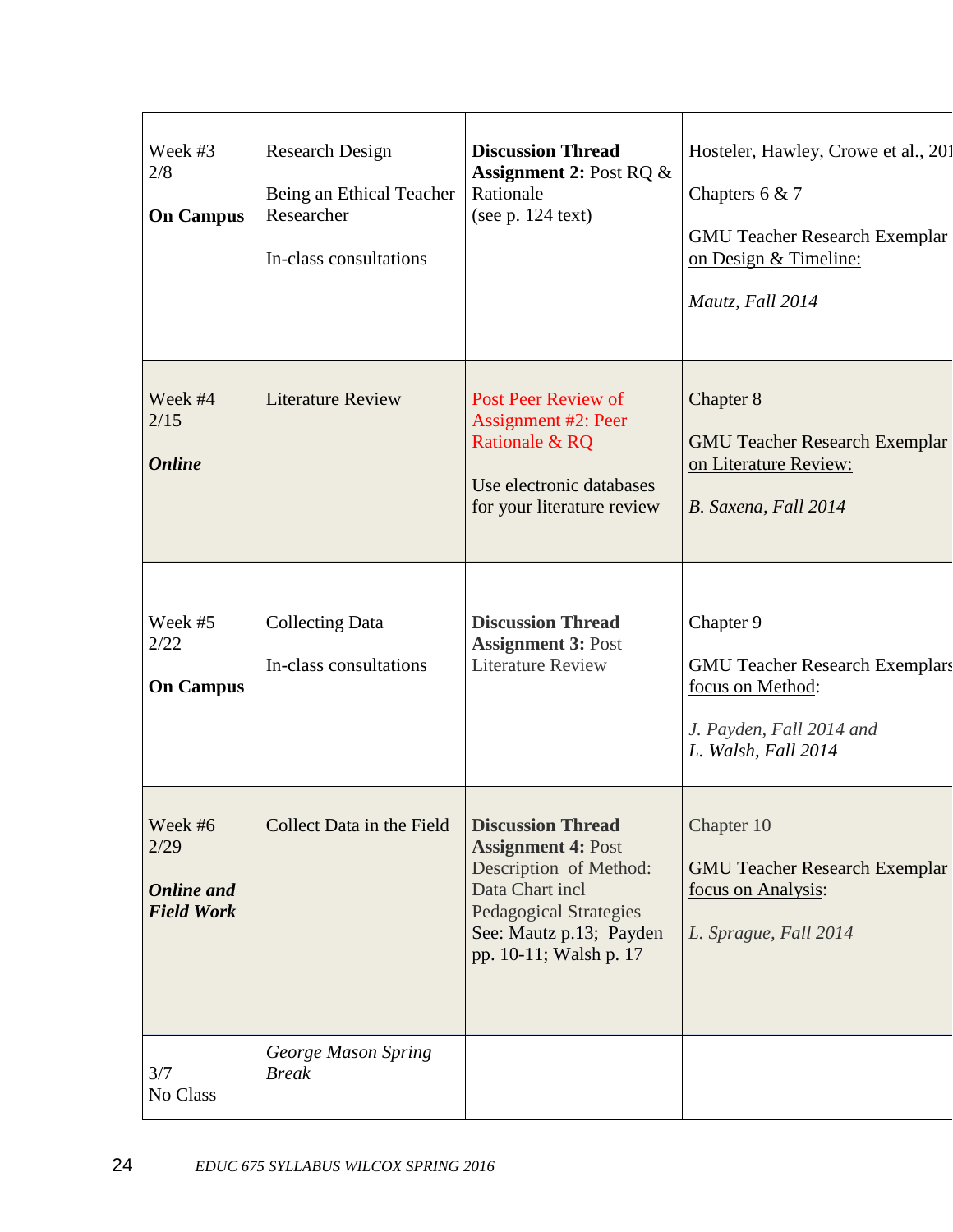| Week #3<br>2/8<br><b>On Campus</b>                        | Research Design<br>Being an Ethical Teacher<br>Researcher<br>In-class consultations | <b>Discussion Thread</b><br><b>Assignment 2: Post RQ &amp;</b><br>Rationale<br>(see $p. 124$ text)                                                                                       | Hosteler, Hawley, Crowe et al., 201<br>Chapters $6 & 7$<br><b>GMU Teacher Research Exemplar</b><br>on Design & Timeline:<br>Mautz, Fall 2014 |
|-----------------------------------------------------------|-------------------------------------------------------------------------------------|------------------------------------------------------------------------------------------------------------------------------------------------------------------------------------------|----------------------------------------------------------------------------------------------------------------------------------------------|
| Week #4<br>2/15<br><b>Online</b>                          | <b>Literature Review</b>                                                            | Post Peer Review of<br><b>Assignment #2: Peer</b><br>Rationale & RQ<br>Use electronic databases<br>for your literature review                                                            | Chapter 8<br><b>GMU Teacher Research Exemplar</b><br>on Literature Review:<br>B. Saxena, Fall 2014                                           |
| Week #5<br>2/22<br><b>On Campus</b>                       | <b>Collecting Data</b><br>In-class consultations                                    | <b>Discussion Thread</b><br><b>Assignment 3: Post</b><br><b>Literature Review</b>                                                                                                        | Chapter 9<br><b>GMU Teacher Research Exemplars</b><br>focus on Method:<br>J. Payden, Fall 2014 and<br>L. Walsh, Fall 2014                    |
| Week #6<br>2/29<br><b>Online</b> and<br><b>Field Work</b> | Collect Data in the Field                                                           | <b>Discussion Thread</b><br><b>Assignment 4: Post</b><br>Description of Method:<br>Data Chart incl<br><b>Pedagogical Strategies</b><br>See: Mautz p.13; Payden<br>pp. 10-11; Walsh p. 17 | Chapter 10<br><b>GMU Teacher Research Exemplar</b><br>focus on Analysis:<br>L. Sprague, Fall 2014                                            |
| 3/7<br>No Class                                           | George Mason Spring<br><b>Break</b>                                                 |                                                                                                                                                                                          |                                                                                                                                              |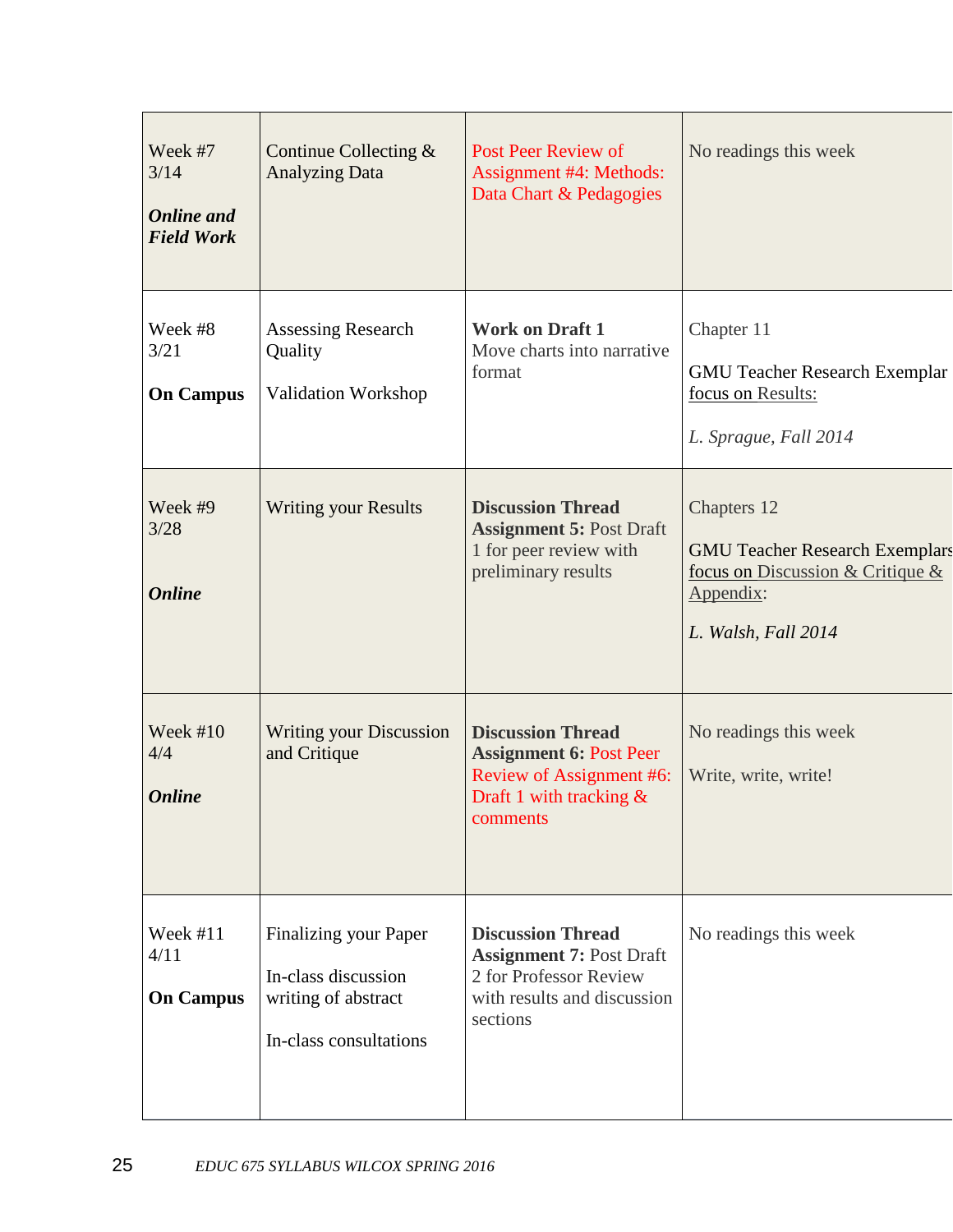| Week #7<br>3/14<br><b>Online</b> and<br><b>Field Work</b> | Continue Collecting &<br><b>Analyzing Data</b>                                                | <b>Post Peer Review of</b><br>Assignment #4: Methods:<br>Data Chart & Pedagogies                                                 | No readings this week                                                                                                        |
|-----------------------------------------------------------|-----------------------------------------------------------------------------------------------|----------------------------------------------------------------------------------------------------------------------------------|------------------------------------------------------------------------------------------------------------------------------|
| Week #8<br>3/21<br><b>On Campus</b>                       | <b>Assessing Research</b><br>Quality<br>Validation Workshop                                   | <b>Work on Draft 1</b><br>Move charts into narrative<br>format                                                                   | Chapter 11<br><b>GMU Teacher Research Exemplar</b><br>focus on Results:<br>L. Sprague, Fall 2014                             |
| Week #9<br>3/28<br><b>Online</b>                          | <b>Writing your Results</b>                                                                   | <b>Discussion Thread</b><br><b>Assignment 5: Post Draft</b><br>1 for peer review with<br>preliminary results                     | Chapters 12<br><b>GMU Teacher Research Exemplars</b><br>focus on Discussion & Critique &<br>Appendix:<br>L. Walsh, Fall 2014 |
| Week #10<br>4/4<br><b>Online</b>                          | <b>Writing your Discussion</b><br>and Critique                                                | <b>Discussion Thread</b><br><b>Assignment 6: Post Peer</b><br>Review of Assignment #6:<br>Draft 1 with tracking $\&$<br>comments | No readings this week<br>Write, write, write!                                                                                |
| Week #11<br>4/11<br><b>On Campus</b>                      | Finalizing your Paper<br>In-class discussion<br>writing of abstract<br>In-class consultations | <b>Discussion Thread</b><br><b>Assignment 7: Post Draft</b><br>2 for Professor Review<br>with results and discussion<br>sections | No readings this week                                                                                                        |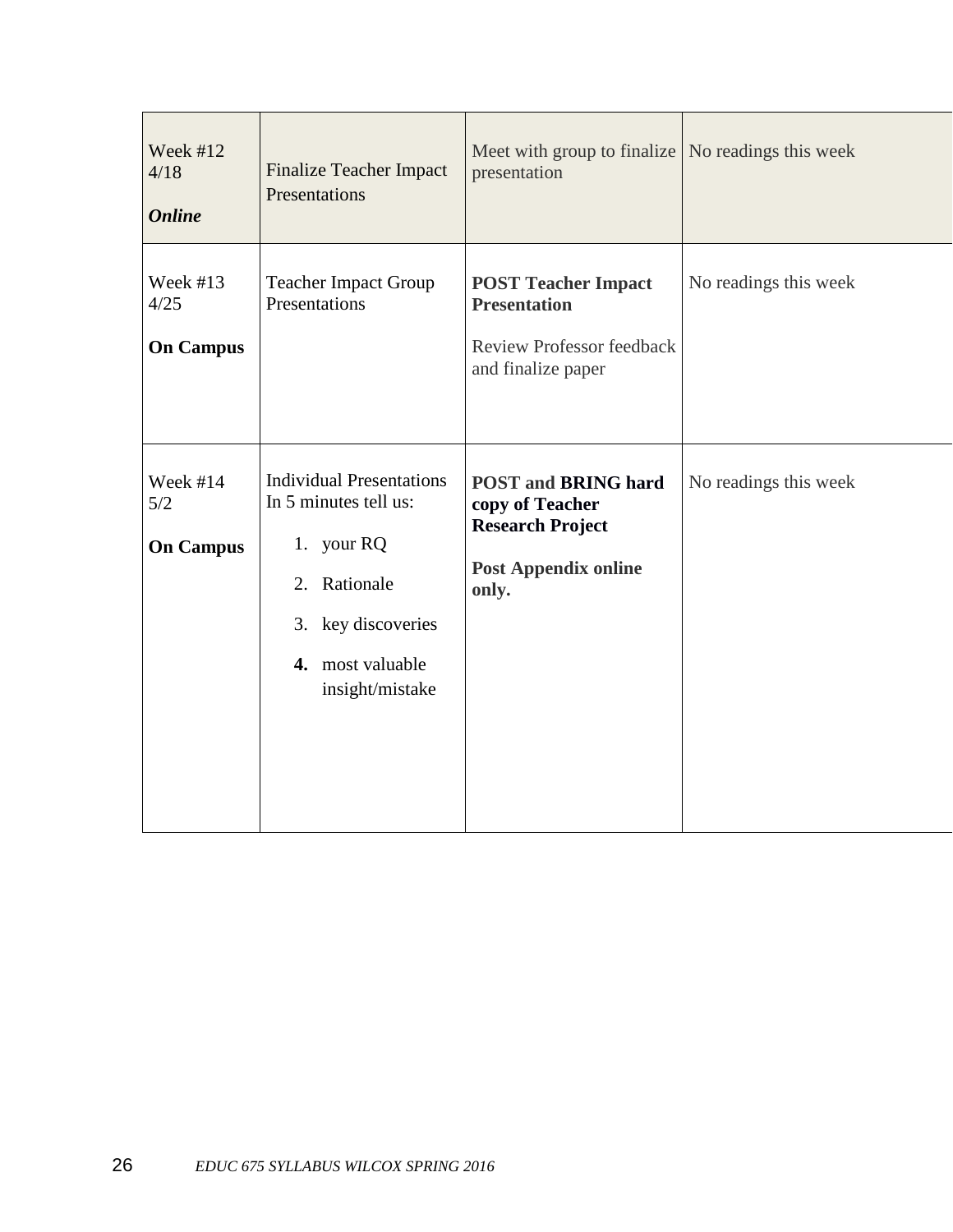| Week #12<br>4/18<br><b>Online</b>      | <b>Finalize Teacher Impact</b><br>Presentations                                                                                                     | Meet with group to finalize   No readings this week<br>presentation                                              |                       |
|----------------------------------------|-----------------------------------------------------------------------------------------------------------------------------------------------------|------------------------------------------------------------------------------------------------------------------|-----------------------|
| Week $#13$<br>4/25<br><b>On Campus</b> | <b>Teacher Impact Group</b><br>Presentations                                                                                                        | <b>POST Teacher Impact</b><br><b>Presentation</b><br><b>Review Professor feedback</b><br>and finalize paper      | No readings this week |
| Week #14<br>5/2<br><b>On Campus</b>    | <b>Individual Presentations</b><br>In 5 minutes tell us:<br>1. your RQ<br>2. Rationale<br>3. key discoveries<br>4. most valuable<br>insight/mistake | <b>POST and BRING hard</b><br>copy of Teacher<br><b>Research Project</b><br><b>Post Appendix online</b><br>only. | No readings this week |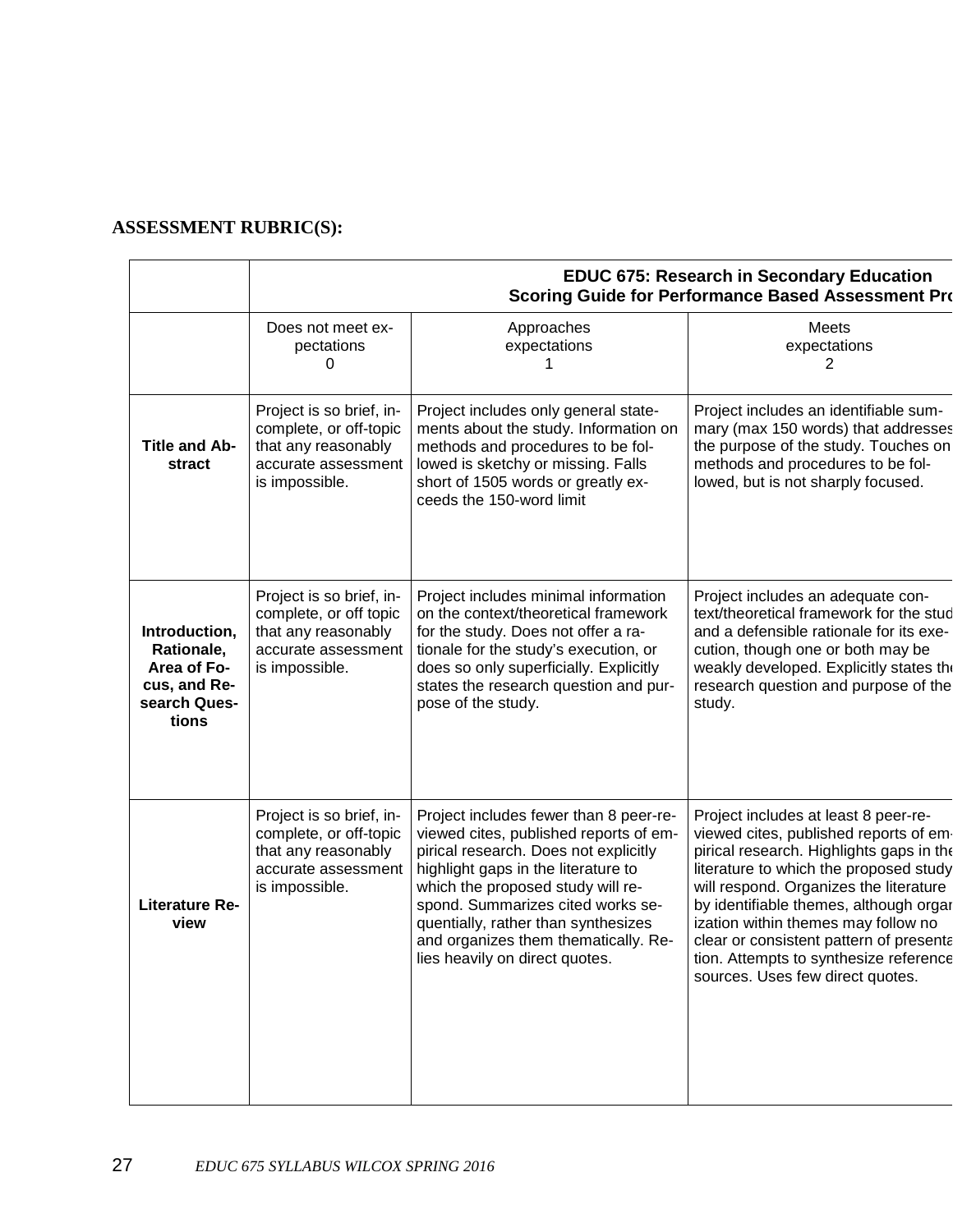# **ASSESSMENT RUBRIC(S):**

|                                                                                     | <b>EDUC 675: Research in Secondary Education</b><br><b>Scoring Guide for Performance Based Assessment Pro</b>      |                                                                                                                                                                                                                                                                                                                                                             |                                                                                                                                                                                                                                                                                                                                                                                                                          |
|-------------------------------------------------------------------------------------|--------------------------------------------------------------------------------------------------------------------|-------------------------------------------------------------------------------------------------------------------------------------------------------------------------------------------------------------------------------------------------------------------------------------------------------------------------------------------------------------|--------------------------------------------------------------------------------------------------------------------------------------------------------------------------------------------------------------------------------------------------------------------------------------------------------------------------------------------------------------------------------------------------------------------------|
|                                                                                     | Does not meet ex-<br>pectations<br>0                                                                               | Approaches<br>expectations                                                                                                                                                                                                                                                                                                                                  | <b>Meets</b><br>expectations<br>2                                                                                                                                                                                                                                                                                                                                                                                        |
| <b>Title and Ab-</b><br>stract                                                      | Project is so brief, in-<br>complete, or off-topic<br>that any reasonably<br>accurate assessment<br>is impossible. | Project includes only general state-<br>ments about the study. Information on<br>methods and procedures to be fol-<br>lowed is sketchy or missing. Falls<br>short of 1505 words or greatly ex-<br>ceeds the 150-word limit                                                                                                                                  | Project includes an identifiable sum-<br>mary (max 150 words) that addresses<br>the purpose of the study. Touches on<br>methods and procedures to be fol-<br>lowed, but is not sharply focused.                                                                                                                                                                                                                          |
| Introduction,<br>Rationale,<br>Area of Fo-<br>cus, and Re-<br>search Ques-<br>tions | Project is so brief, in-<br>complete, or off topic<br>that any reasonably<br>accurate assessment<br>is impossible. | Project includes minimal information<br>on the context/theoretical framework<br>for the study. Does not offer a ra-<br>tionale for the study's execution, or<br>does so only superficially. Explicitly<br>states the research question and pur-<br>pose of the study.                                                                                       | Project includes an adequate con-<br>text/theoretical framework for the stud<br>and a defensible rationale for its exe-<br>cution, though one or both may be<br>weakly developed. Explicitly states the<br>research question and purpose of the<br>study.                                                                                                                                                                |
| <b>Literature Re-</b><br>view                                                       | Project is so brief, in-<br>complete, or off-topic<br>that any reasonably<br>accurate assessment<br>is impossible. | Project includes fewer than 8 peer-re-<br>viewed cites, published reports of em-<br>pirical research. Does not explicitly<br>highlight gaps in the literature to<br>which the proposed study will re-<br>spond. Summarizes cited works se-<br>quentially, rather than synthesizes<br>and organizes them thematically. Re-<br>lies heavily on direct quotes. | Project includes at least 8 peer-re-<br>viewed cites, published reports of em-<br>pirical research. Highlights gaps in the<br>literature to which the proposed study<br>will respond. Organizes the literature<br>by identifiable themes, although orgar<br>ization within themes may follow no<br>clear or consistent pattern of presenta<br>tion. Attempts to synthesize reference<br>sources. Uses few direct quotes. |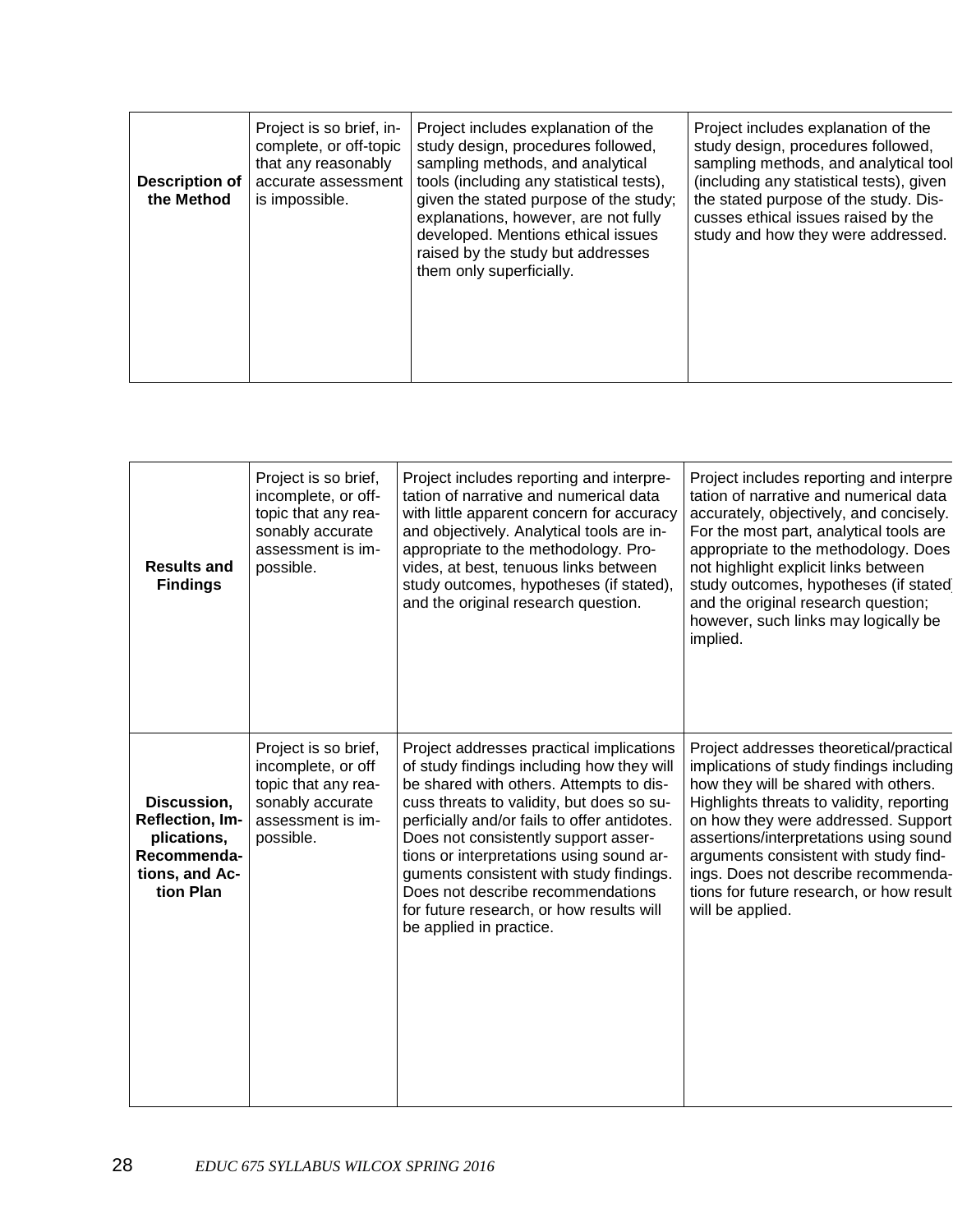| <b>Description of</b><br>the Method | Project is so brief, in-<br>complete, or off-topic<br>that any reasonably<br>accurate assessment<br>is impossible. | Project includes explanation of the<br>study design, procedures followed,<br>sampling methods, and analytical<br>tools (including any statistical tests),<br>given the stated purpose of the study;<br>explanations, however, are not fully<br>developed. Mentions ethical issues<br>raised by the study but addresses<br>them only superficially. | Project includes explanation of the<br>study design, procedures followed,<br>sampling methods, and analytical tool<br>(including any statistical tests), given<br>the stated purpose of the study. Dis-<br>cusses ethical issues raised by the<br>study and how they were addressed. |
|-------------------------------------|--------------------------------------------------------------------------------------------------------------------|----------------------------------------------------------------------------------------------------------------------------------------------------------------------------------------------------------------------------------------------------------------------------------------------------------------------------------------------------|--------------------------------------------------------------------------------------------------------------------------------------------------------------------------------------------------------------------------------------------------------------------------------------|
|                                     |                                                                                                                    |                                                                                                                                                                                                                                                                                                                                                    |                                                                                                                                                                                                                                                                                      |

| <b>Results and</b><br><b>Findings</b>                                                       | Project is so brief,<br>incomplete, or off-<br>topic that any rea-<br>sonably accurate<br>assessment is im-<br>possible. | Project includes reporting and interpre-<br>tation of narrative and numerical data<br>with little apparent concern for accuracy<br>and objectively. Analytical tools are in-<br>appropriate to the methodology. Pro-<br>vides, at best, tenuous links between<br>study outcomes, hypotheses (if stated),<br>and the original research question.                                                                                                                          | Project includes reporting and interpre<br>tation of narrative and numerical data<br>accurately, objectively, and concisely.<br>For the most part, analytical tools are<br>appropriate to the methodology. Does<br>not highlight explicit links between<br>study outcomes, hypotheses (if stated<br>and the original research question;<br>however, such links may logically be<br>implied.               |
|---------------------------------------------------------------------------------------------|--------------------------------------------------------------------------------------------------------------------------|--------------------------------------------------------------------------------------------------------------------------------------------------------------------------------------------------------------------------------------------------------------------------------------------------------------------------------------------------------------------------------------------------------------------------------------------------------------------------|-----------------------------------------------------------------------------------------------------------------------------------------------------------------------------------------------------------------------------------------------------------------------------------------------------------------------------------------------------------------------------------------------------------|
| Discussion,<br>Reflection, Im-<br>plications,<br>Recommenda-<br>tions, and Ac-<br>tion Plan | Project is so brief,<br>incomplete, or off<br>topic that any rea-<br>sonably accurate<br>assessment is im-<br>possible.  | Project addresses practical implications<br>of study findings including how they will<br>be shared with others. Attempts to dis-<br>cuss threats to validity, but does so su-<br>perficially and/or fails to offer antidotes.<br>Does not consistently support asser-<br>tions or interpretations using sound ar-<br>guments consistent with study findings.<br>Does not describe recommendations<br>for future research, or how results will<br>be applied in practice. | Project addresses theoretical/practical<br>implications of study findings including<br>how they will be shared with others.<br>Highlights threats to validity, reporting<br>on how they were addressed. Support<br>assertions/interpretations using sound<br>arguments consistent with study find-<br>ings. Does not describe recommenda-<br>tions for future research, or how result<br>will be applied. |